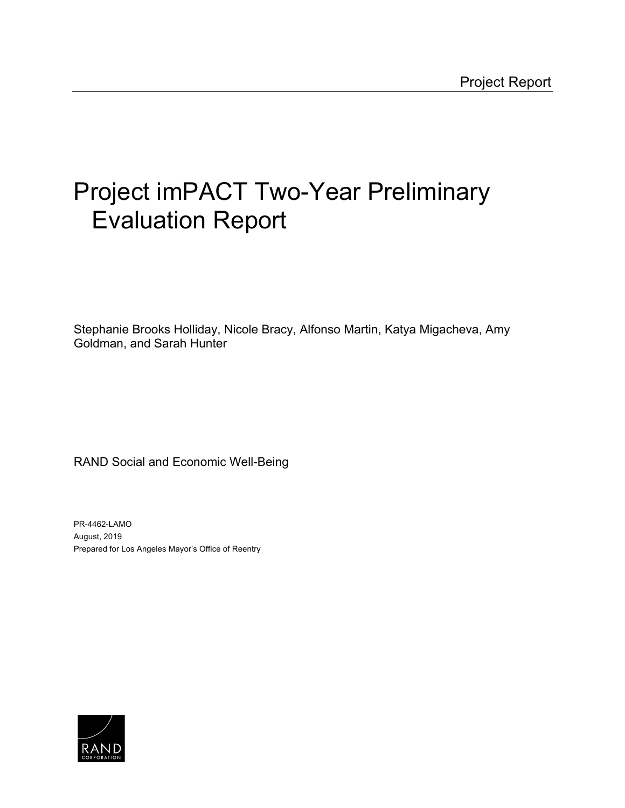# Project imPACT Two-Year Preliminary Evaluation Report

Stephanie Brooks Holliday, Nicole Bracy, Alfonso Martin, Katya Migacheva, Amy Goldman, and Sarah Hunter

RAND Social and Economic Well-Being

PR-4462-LAMO August, 2019 Prepared for Los Angeles Mayor's Office of Reentry

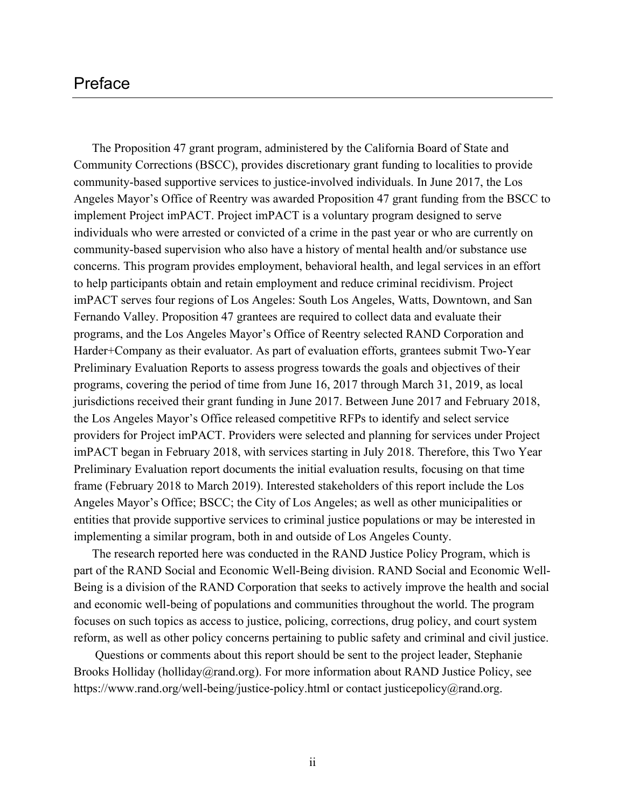## Preface

The Proposition 47 grant program, administered by the California Board of State and Community Corrections (BSCC), provides discretionary grant funding to localities to provide community-based supportive services to justice-involved individuals. In June 2017, the Los Angeles Mayor's Office of Reentry was awarded Proposition 47 grant funding from the BSCC to implement Project imPACT. Project imPACT is a voluntary program designed to serve individuals who were arrested or convicted of a crime in the past year or who are currently on community-based supervision who also have a history of mental health and/or substance use concerns. This program provides employment, behavioral health, and legal services in an effort to help participants obtain and retain employment and reduce criminal recidivism. Project imPACT serves four regions of Los Angeles: South Los Angeles, Watts, Downtown, and San Fernando Valley. Proposition 47 grantees are required to collect data and evaluate their programs, and the Los Angeles Mayor's Office of Reentry selected RAND Corporation and Harder+Company as their evaluator. As part of evaluation efforts, grantees submit Two-Year Preliminary Evaluation Reports to assess progress towards the goals and objectives of their programs, covering the period of time from June 16, 2017 through March 31, 2019, as local jurisdictions received their grant funding in June 2017. Between June 2017 and February 2018, the Los Angeles Mayor's Office released competitive RFPs to identify and select service providers for Project imPACT. Providers were selected and planning for services under Project imPACT began in February 2018, with services starting in July 2018. Therefore, this Two Year Preliminary Evaluation report documents the initial evaluation results, focusing on that time frame (February 2018 to March 2019). Interested stakeholders of this report include the Los Angeles Mayor's Office; BSCC; the City of Los Angeles; as well as other municipalities or entities that provide supportive services to criminal justice populations or may be interested in implementing a similar program, both in and outside of Los Angeles County.

The research reported here was conducted in the RAND Justice Policy Program, which is part of the RAND Social and Economic Well-Being division. RAND Social and Economic Well-Being is a division of the RAND Corporation that seeks to actively improve the health and social and economic well-being of populations and communities throughout the world. The program focuses on such topics as access to justice, policing, corrections, drug policy, and court system reform, as well as other policy concerns pertaining to public safety and criminal and civil justice.

Questions or comments about this report should be sent to the project leader, Stephanie Brooks Holliday (holliday@rand.org). For more information about RAND Justice Policy, see https://www.rand.org/well-being/justice-policy.html or contact justicepolicy@rand.org.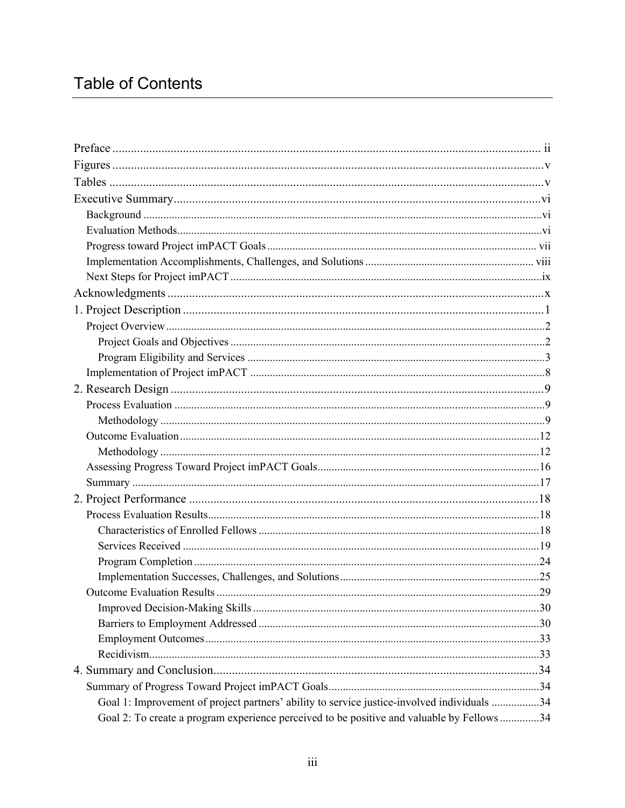# **Table of Contents**

| Goal 1: Improvement of project partners' ability to service justice-involved individuals 34 |  |
|---------------------------------------------------------------------------------------------|--|
| Goal 2: To create a program experience perceived to be positive and valuable by Fellows 34  |  |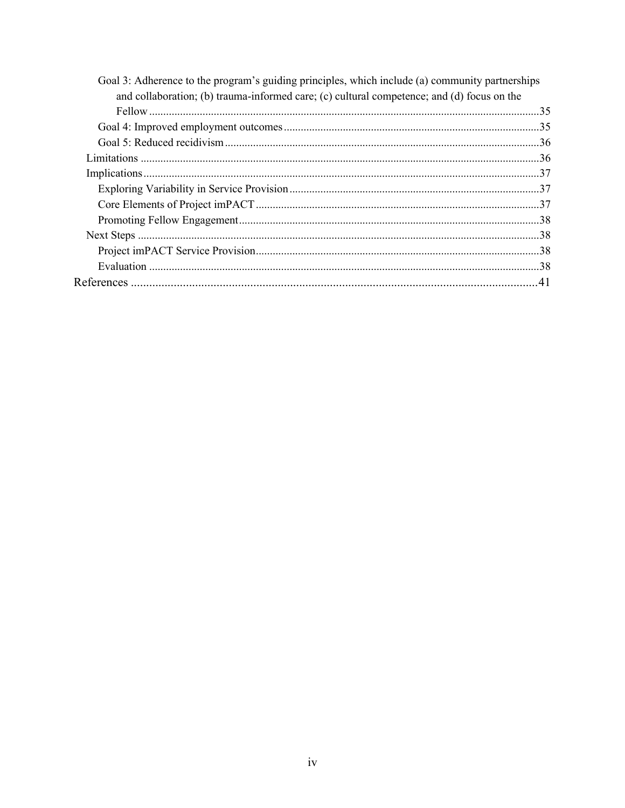| Goal 3: Adherence to the program's guiding principles, which include (a) community partnerships |  |
|-------------------------------------------------------------------------------------------------|--|
| and collaboration; (b) trauma-informed care; (c) cultural competence; and (d) focus on the      |  |
|                                                                                                 |  |
|                                                                                                 |  |
|                                                                                                 |  |
|                                                                                                 |  |
|                                                                                                 |  |
|                                                                                                 |  |
|                                                                                                 |  |
|                                                                                                 |  |
|                                                                                                 |  |
|                                                                                                 |  |
|                                                                                                 |  |
|                                                                                                 |  |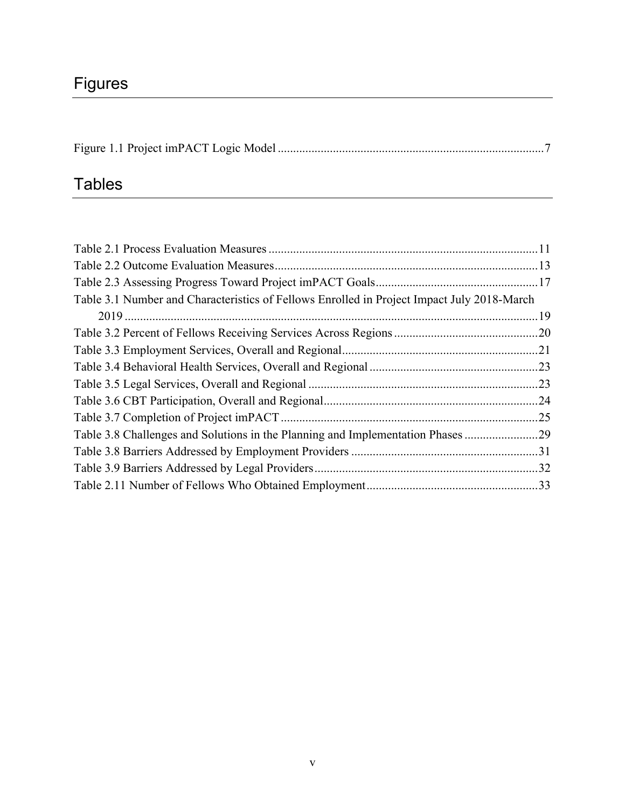# Figures

# **Tables**

| Table 3.1 Number and Characteristics of Fellows Enrolled in Project Impact July 2018-March |  |
|--------------------------------------------------------------------------------------------|--|
|                                                                                            |  |
|                                                                                            |  |
|                                                                                            |  |
|                                                                                            |  |
|                                                                                            |  |
|                                                                                            |  |
|                                                                                            |  |
| Table 3.8 Challenges and Solutions in the Planning and Implementation Phases 29            |  |
|                                                                                            |  |
|                                                                                            |  |
|                                                                                            |  |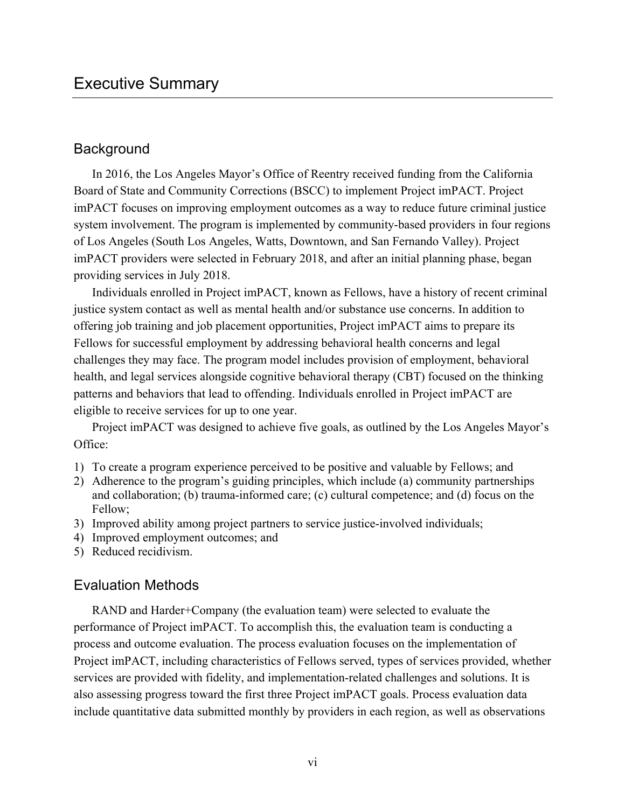## **Background**

In 2016, the Los Angeles Mayor's Office of Reentry received funding from the California Board of State and Community Corrections (BSCC) to implement Project imPACT. Project imPACT focuses on improving employment outcomes as a way to reduce future criminal justice system involvement. The program is implemented by community-based providers in four regions of Los Angeles (South Los Angeles, Watts, Downtown, and San Fernando Valley). Project imPACT providers were selected in February 2018, and after an initial planning phase, began providing services in July 2018.

Individuals enrolled in Project imPACT, known as Fellows, have a history of recent criminal justice system contact as well as mental health and/or substance use concerns. In addition to offering job training and job placement opportunities, Project imPACT aims to prepare its Fellows for successful employment by addressing behavioral health concerns and legal challenges they may face. The program model includes provision of employment, behavioral health, and legal services alongside cognitive behavioral therapy (CBT) focused on the thinking patterns and behaviors that lead to offending. Individuals enrolled in Project imPACT are eligible to receive services for up to one year.

Project imPACT was designed to achieve five goals, as outlined by the Los Angeles Mayor's Office:

- 1) To create a program experience perceived to be positive and valuable by Fellows; and
- 2) Adherence to the program's guiding principles, which include (a) community partnerships and collaboration; (b) trauma-informed care; (c) cultural competence; and (d) focus on the Fellow;
- 3) Improved ability among project partners to service justice-involved individuals;
- 4) Improved employment outcomes; and
- 5) Reduced recidivism.

## Evaluation Methods

RAND and Harder+Company (the evaluation team) were selected to evaluate the performance of Project imPACT. To accomplish this, the evaluation team is conducting a process and outcome evaluation. The process evaluation focuses on the implementation of Project imPACT, including characteristics of Fellows served, types of services provided, whether services are provided with fidelity, and implementation-related challenges and solutions. It is also assessing progress toward the first three Project imPACT goals. Process evaluation data include quantitative data submitted monthly by providers in each region, as well as observations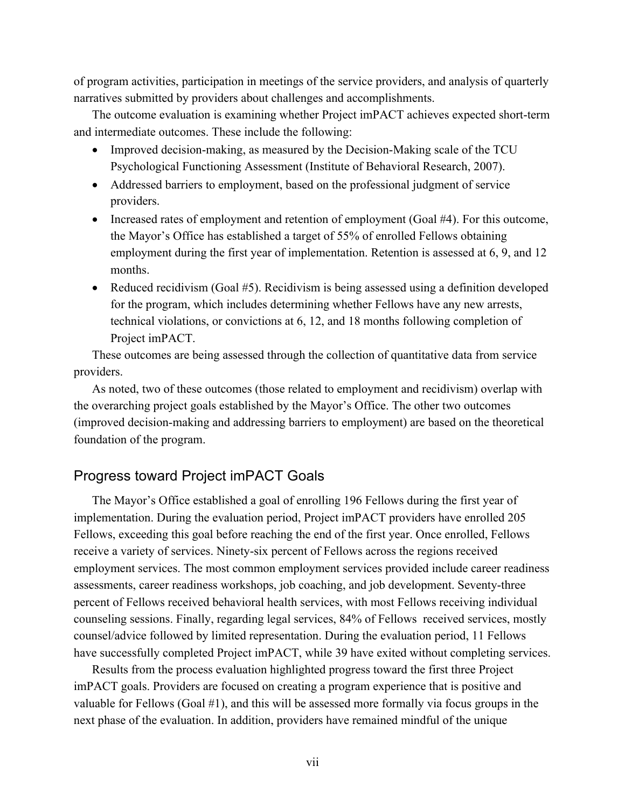of program activities, participation in meetings of the service providers, and analysis of quarterly narratives submitted by providers about challenges and accomplishments.

The outcome evaluation is examining whether Project imPACT achieves expected short-term and intermediate outcomes. These include the following:

- Improved decision-making, as measured by the Decision-Making scale of the TCU Psychological Functioning Assessment (Institute of Behavioral Research, 2007).
- Addressed barriers to employment, based on the professional judgment of service providers.
- Increased rates of employment and retention of employment (Goal #4). For this outcome, the Mayor's Office has established a target of 55% of enrolled Fellows obtaining employment during the first year of implementation. Retention is assessed at 6, 9, and 12 months.
- Reduced recidivism (Goal #5). Recidivism is being assessed using a definition developed for the program, which includes determining whether Fellows have any new arrests, technical violations, or convictions at 6, 12, and 18 months following completion of Project imPACT.

These outcomes are being assessed through the collection of quantitative data from service providers.

As noted, two of these outcomes (those related to employment and recidivism) overlap with the overarching project goals established by the Mayor's Office. The other two outcomes (improved decision-making and addressing barriers to employment) are based on the theoretical foundation of the program.

## Progress toward Project imPACT Goals

The Mayor's Office established a goal of enrolling 196 Fellows during the first year of implementation. During the evaluation period, Project imPACT providers have enrolled 205 Fellows, exceeding this goal before reaching the end of the first year. Once enrolled, Fellows receive a variety of services. Ninety-six percent of Fellows across the regions received employment services. The most common employment services provided include career readiness assessments, career readiness workshops, job coaching, and job development. Seventy-three percent of Fellows received behavioral health services, with most Fellows receiving individual counseling sessions. Finally, regarding legal services, 84% of Fellows received services, mostly counsel/advice followed by limited representation. During the evaluation period, 11 Fellows have successfully completed Project imPACT, while 39 have exited without completing services.

Results from the process evaluation highlighted progress toward the first three Project imPACT goals. Providers are focused on creating a program experience that is positive and valuable for Fellows (Goal #1), and this will be assessed more formally via focus groups in the next phase of the evaluation. In addition, providers have remained mindful of the unique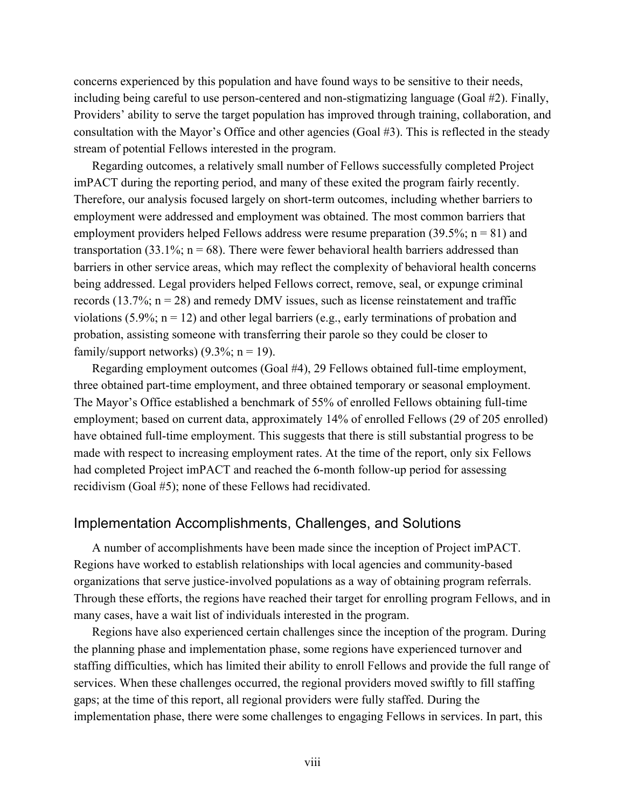concerns experienced by this population and have found ways to be sensitive to their needs, including being careful to use person-centered and non-stigmatizing language (Goal #2). Finally, Providers' ability to serve the target population has improved through training, collaboration, and consultation with the Mayor's Office and other agencies (Goal #3). This is reflected in the steady stream of potential Fellows interested in the program.

Regarding outcomes, a relatively small number of Fellows successfully completed Project imPACT during the reporting period, and many of these exited the program fairly recently. Therefore, our analysis focused largely on short-term outcomes, including whether barriers to employment were addressed and employment was obtained. The most common barriers that employment providers helped Fellows address were resume preparation (39.5%;  $n = 81$ ) and transportation (33.1%;  $n = 68$ ). There were fewer behavioral health barriers addressed than barriers in other service areas, which may reflect the complexity of behavioral health concerns being addressed. Legal providers helped Fellows correct, remove, seal, or expunge criminal records (13.7%;  $n = 28$ ) and remedy DMV issues, such as license reinstatement and traffic violations (5.9%;  $n = 12$ ) and other legal barriers (e.g., early terminations of probation and probation, assisting someone with transferring their parole so they could be closer to family/support networks)  $(9.3\%; n = 19)$ .

Regarding employment outcomes (Goal #4), 29 Fellows obtained full-time employment, three obtained part-time employment, and three obtained temporary or seasonal employment. The Mayor's Office established a benchmark of 55% of enrolled Fellows obtaining full-time employment; based on current data, approximately 14% of enrolled Fellows (29 of 205 enrolled) have obtained full-time employment. This suggests that there is still substantial progress to be made with respect to increasing employment rates. At the time of the report, only six Fellows had completed Project imPACT and reached the 6-month follow-up period for assessing recidivism (Goal #5); none of these Fellows had recidivated.

#### Implementation Accomplishments, Challenges, and Solutions

A number of accomplishments have been made since the inception of Project imPACT. Regions have worked to establish relationships with local agencies and community-based organizations that serve justice-involved populations as a way of obtaining program referrals. Through these efforts, the regions have reached their target for enrolling program Fellows, and in many cases, have a wait list of individuals interested in the program.

Regions have also experienced certain challenges since the inception of the program. During the planning phase and implementation phase, some regions have experienced turnover and staffing difficulties, which has limited their ability to enroll Fellows and provide the full range of services. When these challenges occurred, the regional providers moved swiftly to fill staffing gaps; at the time of this report, all regional providers were fully staffed. During the implementation phase, there were some challenges to engaging Fellows in services. In part, this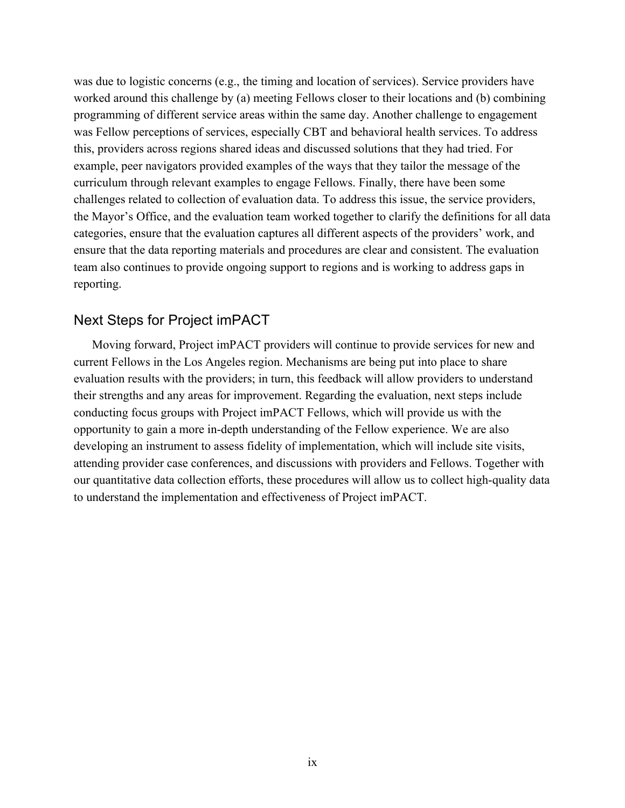was due to logistic concerns (e.g., the timing and location of services). Service providers have worked around this challenge by (a) meeting Fellows closer to their locations and (b) combining programming of different service areas within the same day. Another challenge to engagement was Fellow perceptions of services, especially CBT and behavioral health services. To address this, providers across regions shared ideas and discussed solutions that they had tried. For example, peer navigators provided examples of the ways that they tailor the message of the curriculum through relevant examples to engage Fellows. Finally, there have been some challenges related to collection of evaluation data. To address this issue, the service providers, the Mayor's Office, and the evaluation team worked together to clarify the definitions for all data categories, ensure that the evaluation captures all different aspects of the providers' work, and ensure that the data reporting materials and procedures are clear and consistent. The evaluation team also continues to provide ongoing support to regions and is working to address gaps in reporting.

## Next Steps for Project imPACT

Moving forward, Project imPACT providers will continue to provide services for new and current Fellows in the Los Angeles region. Mechanisms are being put into place to share evaluation results with the providers; in turn, this feedback will allow providers to understand their strengths and any areas for improvement. Regarding the evaluation, next steps include conducting focus groups with Project imPACT Fellows, which will provide us with the opportunity to gain a more in-depth understanding of the Fellow experience. We are also developing an instrument to assess fidelity of implementation, which will include site visits, attending provider case conferences, and discussions with providers and Fellows. Together with our quantitative data collection efforts, these procedures will allow us to collect high-quality data to understand the implementation and effectiveness of Project imPACT.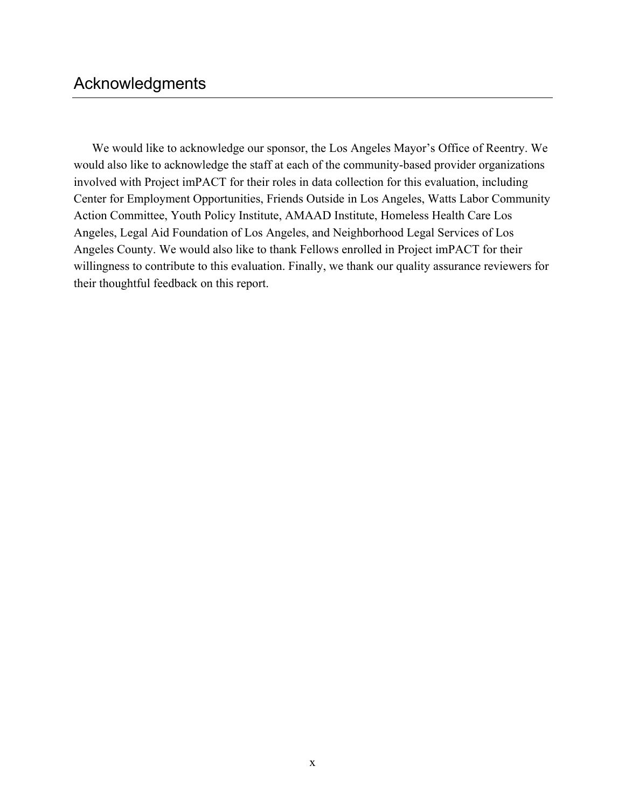We would like to acknowledge our sponsor, the Los Angeles Mayor's Office of Reentry. We would also like to acknowledge the staff at each of the community-based provider organizations involved with Project imPACT for their roles in data collection for this evaluation, including Center for Employment Opportunities, Friends Outside in Los Angeles, Watts Labor Community Action Committee, Youth Policy Institute, AMAAD Institute, Homeless Health Care Los Angeles, Legal Aid Foundation of Los Angeles, and Neighborhood Legal Services of Los Angeles County. We would also like to thank Fellows enrolled in Project imPACT for their willingness to contribute to this evaluation. Finally, we thank our quality assurance reviewers for their thoughtful feedback on this report.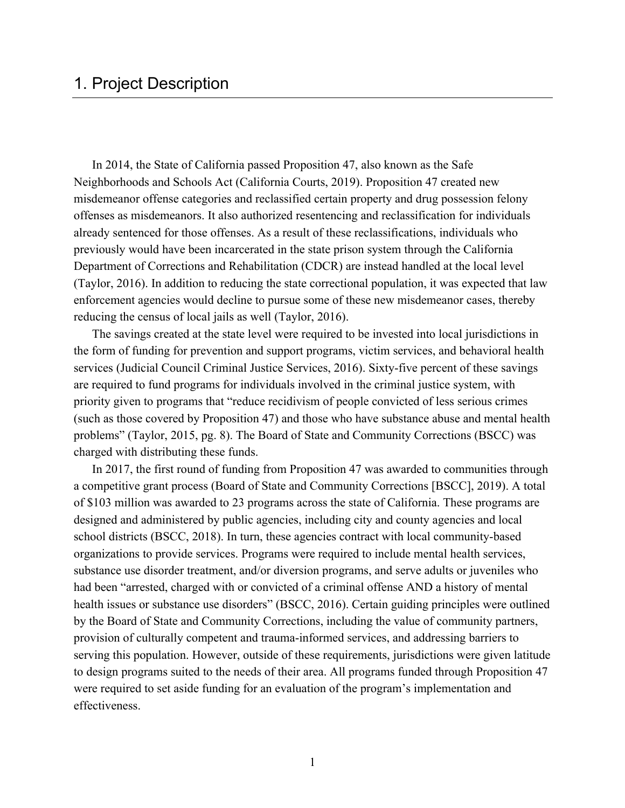## 1. Project Description

In 2014, the State of California passed Proposition 47, also known as the Safe Neighborhoods and Schools Act (California Courts, 2019). Proposition 47 created new misdemeanor offense categories and reclassified certain property and drug possession felony offenses as misdemeanors. It also authorized resentencing and reclassification for individuals already sentenced for those offenses. As a result of these reclassifications, individuals who previously would have been incarcerated in the state prison system through the California Department of Corrections and Rehabilitation (CDCR) are instead handled at the local level (Taylor, 2016). In addition to reducing the state correctional population, it was expected that law enforcement agencies would decline to pursue some of these new misdemeanor cases, thereby reducing the census of local jails as well (Taylor, 2016).

The savings created at the state level were required to be invested into local jurisdictions in the form of funding for prevention and support programs, victim services, and behavioral health services (Judicial Council Criminal Justice Services, 2016). Sixty-five percent of these savings are required to fund programs for individuals involved in the criminal justice system, with priority given to programs that "reduce recidivism of people convicted of less serious crimes (such as those covered by Proposition 47) and those who have substance abuse and mental health problems" (Taylor, 2015, pg. 8). The Board of State and Community Corrections (BSCC) was charged with distributing these funds.

In 2017, the first round of funding from Proposition 47 was awarded to communities through a competitive grant process (Board of State and Community Corrections [BSCC], 2019). A total of \$103 million was awarded to 23 programs across the state of California. These programs are designed and administered by public agencies, including city and county agencies and local school districts (BSCC, 2018). In turn, these agencies contract with local community-based organizations to provide services. Programs were required to include mental health services, substance use disorder treatment, and/or diversion programs, and serve adults or juveniles who had been "arrested, charged with or convicted of a criminal offense AND a history of mental health issues or substance use disorders" (BSCC, 2016). Certain guiding principles were outlined by the Board of State and Community Corrections, including the value of community partners, provision of culturally competent and trauma-informed services, and addressing barriers to serving this population. However, outside of these requirements, jurisdictions were given latitude to design programs suited to the needs of their area. All programs funded through Proposition 47 were required to set aside funding for an evaluation of the program's implementation and effectiveness.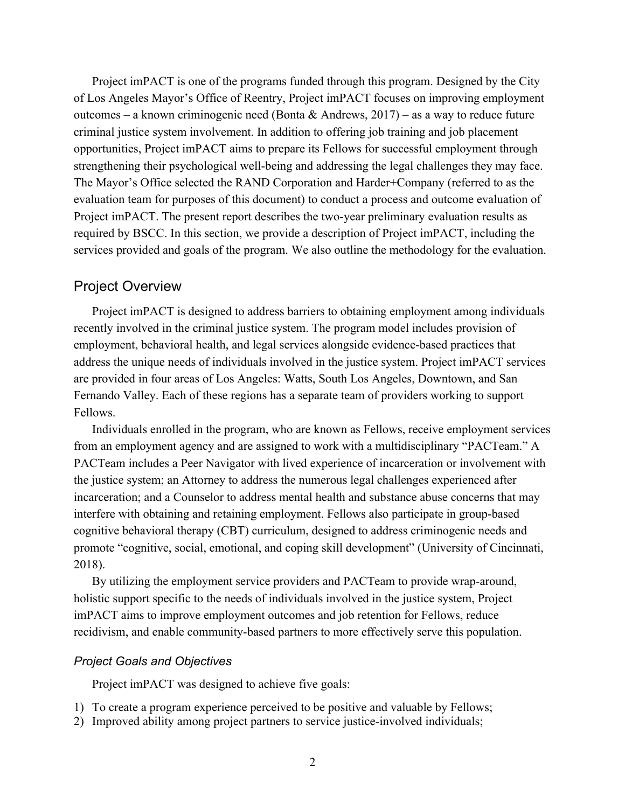Project imPACT is one of the programs funded through this program. Designed by the City of Los Angeles Mayor's Office of Reentry, Project imPACT focuses on improving employment outcomes – a known criminogenic need (Bonta & Andrews,  $2017$ ) – as a way to reduce future criminal justice system involvement. In addition to offering job training and job placement opportunities, Project imPACT aims to prepare its Fellows for successful employment through strengthening their psychological well-being and addressing the legal challenges they may face. The Mayor's Office selected the RAND Corporation and Harder+Company (referred to as the evaluation team for purposes of this document) to conduct a process and outcome evaluation of Project imPACT. The present report describes the two-year preliminary evaluation results as required by BSCC. In this section, we provide a description of Project imPACT, including the services provided and goals of the program. We also outline the methodology for the evaluation.

#### Project Overview

Project imPACT is designed to address barriers to obtaining employment among individuals recently involved in the criminal justice system. The program model includes provision of employment, behavioral health, and legal services alongside evidence-based practices that address the unique needs of individuals involved in the justice system. Project imPACT services are provided in four areas of Los Angeles: Watts, South Los Angeles, Downtown, and San Fernando Valley. Each of these regions has a separate team of providers working to support Fellows.

Individuals enrolled in the program, who are known as Fellows, receive employment services from an employment agency and are assigned to work with a multidisciplinary "PACTeam." A PACTeam includes a Peer Navigator with lived experience of incarceration or involvement with the justice system; an Attorney to address the numerous legal challenges experienced after incarceration; and a Counselor to address mental health and substance abuse concerns that may interfere with obtaining and retaining employment. Fellows also participate in group-based cognitive behavioral therapy (CBT) curriculum, designed to address criminogenic needs and promote "cognitive, social, emotional, and coping skill development" (University of Cincinnati, 2018).

By utilizing the employment service providers and PACTeam to provide wrap-around, holistic support specific to the needs of individuals involved in the justice system, Project imPACT aims to improve employment outcomes and job retention for Fellows, reduce recidivism, and enable community-based partners to more effectively serve this population.

#### *Project Goals and Objectives*

Project imPACT was designed to achieve five goals:

- 1) To create a program experience perceived to be positive and valuable by Fellows;
- 2) Improved ability among project partners to service justice-involved individuals;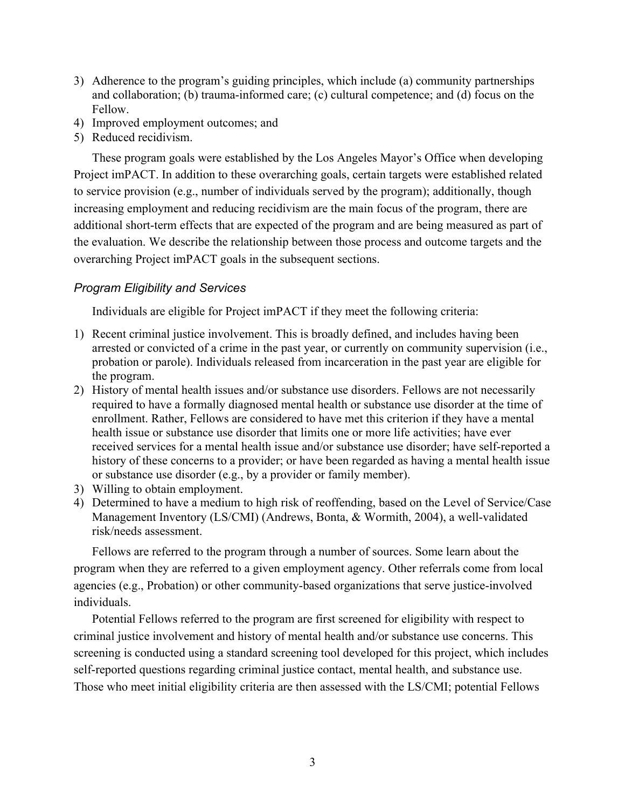- 3) Adherence to the program's guiding principles, which include (a) community partnerships and collaboration; (b) trauma-informed care; (c) cultural competence; and (d) focus on the Fellow.
- 4) Improved employment outcomes; and
- 5) Reduced recidivism.

These program goals were established by the Los Angeles Mayor's Office when developing Project imPACT. In addition to these overarching goals, certain targets were established related to service provision (e.g., number of individuals served by the program); additionally, though increasing employment and reducing recidivism are the main focus of the program, there are additional short-term effects that are expected of the program and are being measured as part of the evaluation. We describe the relationship between those process and outcome targets and the overarching Project imPACT goals in the subsequent sections.

#### *Program Eligibility and Services*

Individuals are eligible for Project imPACT if they meet the following criteria:

- 1) Recent criminal justice involvement. This is broadly defined, and includes having been arrested or convicted of a crime in the past year, or currently on community supervision (i.e., probation or parole). Individuals released from incarceration in the past year are eligible for the program.
- 2) History of mental health issues and/or substance use disorders. Fellows are not necessarily required to have a formally diagnosed mental health or substance use disorder at the time of enrollment. Rather, Fellows are considered to have met this criterion if they have a mental health issue or substance use disorder that limits one or more life activities; have ever received services for a mental health issue and/or substance use disorder; have self-reported a history of these concerns to a provider; or have been regarded as having a mental health issue or substance use disorder (e.g., by a provider or family member).
- 3) Willing to obtain employment.
- 4) Determined to have a medium to high risk of reoffending, based on the Level of Service/Case Management Inventory (LS/CMI) (Andrews, Bonta, & Wormith, 2004), a well-validated risk/needs assessment.

Fellows are referred to the program through a number of sources. Some learn about the program when they are referred to a given employment agency. Other referrals come from local agencies (e.g., Probation) or other community-based organizations that serve justice-involved individuals.

Potential Fellows referred to the program are first screened for eligibility with respect to criminal justice involvement and history of mental health and/or substance use concerns. This screening is conducted using a standard screening tool developed for this project, which includes self-reported questions regarding criminal justice contact, mental health, and substance use. Those who meet initial eligibility criteria are then assessed with the LS/CMI; potential Fellows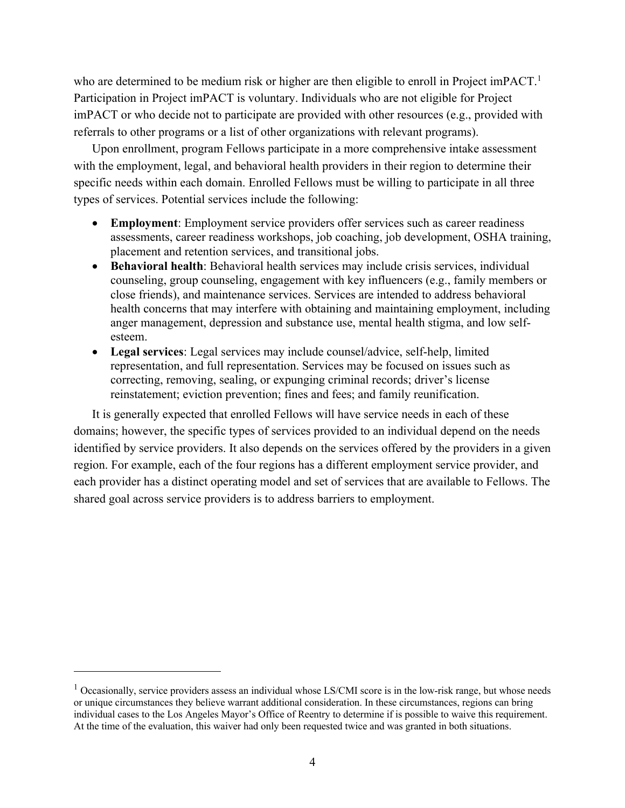who are determined to be medium risk or higher are then eligible to enroll in Project imPACT.<sup>1</sup> Participation in Project imPACT is voluntary. Individuals who are not eligible for Project imPACT or who decide not to participate are provided with other resources (e.g., provided with referrals to other programs or a list of other organizations with relevant programs).

Upon enrollment, program Fellows participate in a more comprehensive intake assessment with the employment, legal, and behavioral health providers in their region to determine their specific needs within each domain. Enrolled Fellows must be willing to participate in all three types of services. Potential services include the following:

- **Employment**: Employment service providers offer services such as career readiness assessments, career readiness workshops, job coaching, job development, OSHA training, placement and retention services, and transitional jobs.
- **Behavioral health**: Behavioral health services may include crisis services, individual counseling, group counseling, engagement with key influencers (e.g., family members or close friends), and maintenance services. Services are intended to address behavioral health concerns that may interfere with obtaining and maintaining employment, including anger management, depression and substance use, mental health stigma, and low selfesteem.
- **Legal services**: Legal services may include counsel/advice, self-help, limited representation, and full representation. Services may be focused on issues such as correcting, removing, sealing, or expunging criminal records; driver's license reinstatement; eviction prevention; fines and fees; and family reunification.

It is generally expected that enrolled Fellows will have service needs in each of these domains; however, the specific types of services provided to an individual depend on the needs identified by service providers. It also depends on the services offered by the providers in a given region. For example, each of the four regions has a different employment service provider, and each provider has a distinct operating model and set of services that are available to Fellows. The shared goal across service providers is to address barriers to employment.

 $1$  Occasionally, service providers assess an individual whose LS/CMI score is in the low-risk range, but whose needs or unique circumstances they believe warrant additional consideration. In these circumstances, regions can bring individual cases to the Los Angeles Mayor's Office of Reentry to determine if is possible to waive this requirement. At the time of the evaluation, this waiver had only been requested twice and was granted in both situations.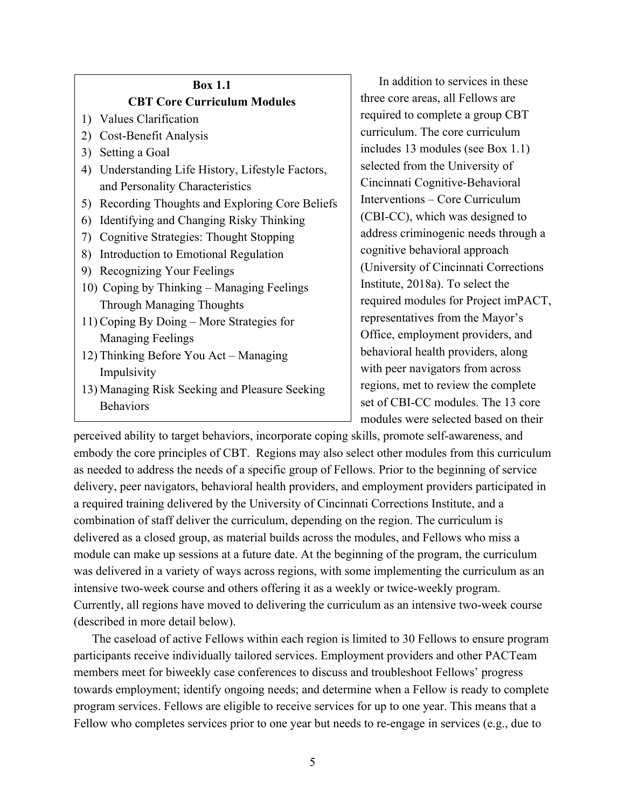| <b>Box 1.1</b>                                    |
|---------------------------------------------------|
| <b>CBT Core Curriculum Modules</b>                |
| 1) Values Clarification                           |
| 2) Cost-Benefit Analysis                          |
| 3) Setting a Goal                                 |
| 4) Understanding Life History, Lifestyle Factors, |
| and Personality Characteristics                   |
| 5) Recording Thoughts and Exploring Core Beliefs  |
| Identifying and Changing Risky Thinking<br>6)     |
| 7) Cognitive Strategies: Thought Stopping         |
| 8) Introduction to Emotional Regulation           |
| 9) Recognizing Your Feelings                      |
| 10) Coping by Thinking – Managing Feelings        |
| <b>Through Managing Thoughts</b>                  |
| 11) Coping By Doing – More Strategies for         |
| <b>Managing Feelings</b>                          |
| 12) Thinking Before You Act – Managing            |
| Impulsivity                                       |
| 13) Managing Risk Seeking and Pleasure Seeking    |
| <b>Behaviors</b>                                  |

In addition to services in these three core areas, all Fellows are required to complete a group CBT curriculum. The core curriculum includes 13 modules (see Box 1.1) selected from the University of Cincinnati Cognitive-Behavioral Interventions – Core Curriculum (CBI-CC), which was designed to address criminogenic needs through a cognitive behavioral approach (University of Cincinnati Corrections Institute, 2018a). To select the required modules for Project imPACT, representatives from the Mayor's Office, employment providers, and behavioral health providers, along with peer navigators from across regions, met to review the complete set of CBI-CC modules. The 13 core modules were selected based on their

perceived ability to target behaviors, incorporate coping skills, promote self-awareness, and embody the core principles of CBT. Regions may also select other modules from this curriculum as needed to address the needs of a specific group of Fellows. Prior to the beginning of service delivery, peer navigators, behavioral health providers, and employment providers participated in a required training delivered by the University of Cincinnati Corrections Institute, and a combination of staff deliver the curriculum, depending on the region. The curriculum is delivered as a closed group, as material builds across the modules, and Fellows who miss a module can make up sessions at a future date. At the beginning of the program, the curriculum was delivered in a variety of ways across regions, with some implementing the curriculum as an intensive two-week course and others offering it as a weekly or twice-weekly program. Currently, all regions have moved to delivering the curriculum as an intensive two-week course (described in more detail below).

The caseload of active Fellows within each region is limited to 30 Fellows to ensure program participants receive individually tailored services. Employment providers and other PACTeam members meet for biweekly case conferences to discuss and troubleshoot Fellows' progress towards employment; identify ongoing needs; and determine when a Fellow is ready to complete program services. Fellows are eligible to receive services for up to one year. This means that a Fellow who completes services prior to one year but needs to re-engage in services (e.g., due to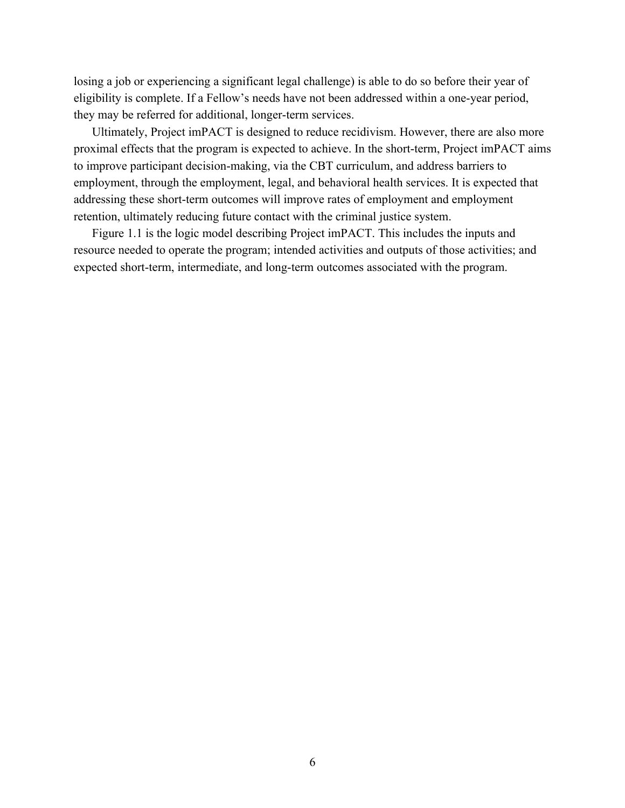losing a job or experiencing a significant legal challenge) is able to do so before their year of eligibility is complete. If a Fellow's needs have not been addressed within a one-year period, they may be referred for additional, longer-term services.

Ultimately, Project imPACT is designed to reduce recidivism. However, there are also more proximal effects that the program is expected to achieve. In the short-term, Project imPACT aims to improve participant decision-making, via the CBT curriculum, and address barriers to employment, through the employment, legal, and behavioral health services. It is expected that addressing these short-term outcomes will improve rates of employment and employment retention, ultimately reducing future contact with the criminal justice system.

Figure 1.1 is the logic model describing Project imPACT. This includes the inputs and resource needed to operate the program; intended activities and outputs of those activities; and expected short-term, intermediate, and long-term outcomes associated with the program.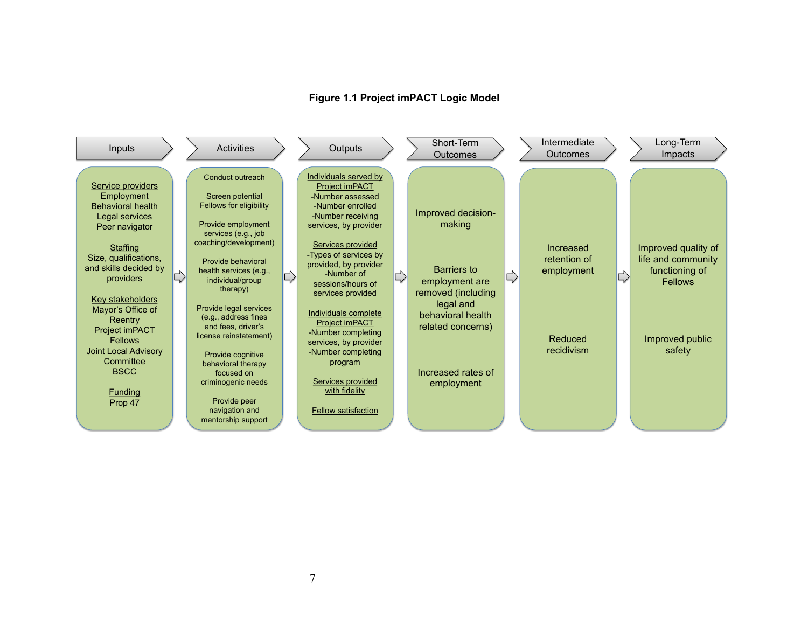#### **Figure 1.1 Project imPACT Logic Model**

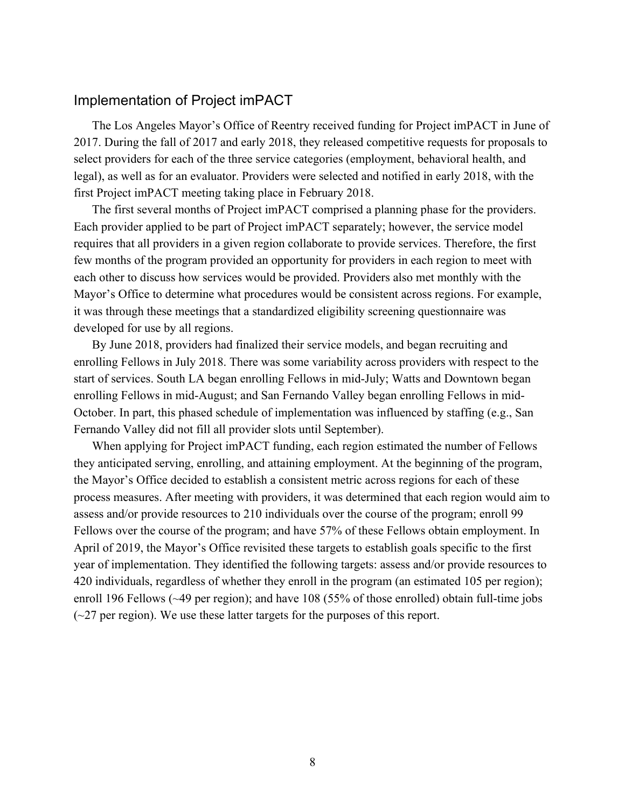## Implementation of Project imPACT

The Los Angeles Mayor's Office of Reentry received funding for Project imPACT in June of 2017. During the fall of 2017 and early 2018, they released competitive requests for proposals to select providers for each of the three service categories (employment, behavioral health, and legal), as well as for an evaluator. Providers were selected and notified in early 2018, with the first Project imPACT meeting taking place in February 2018.

The first several months of Project imPACT comprised a planning phase for the providers. Each provider applied to be part of Project imPACT separately; however, the service model requires that all providers in a given region collaborate to provide services. Therefore, the first few months of the program provided an opportunity for providers in each region to meet with each other to discuss how services would be provided. Providers also met monthly with the Mayor's Office to determine what procedures would be consistent across regions. For example, it was through these meetings that a standardized eligibility screening questionnaire was developed for use by all regions.

By June 2018, providers had finalized their service models, and began recruiting and enrolling Fellows in July 2018. There was some variability across providers with respect to the start of services. South LA began enrolling Fellows in mid-July; Watts and Downtown began enrolling Fellows in mid-August; and San Fernando Valley began enrolling Fellows in mid-October. In part, this phased schedule of implementation was influenced by staffing (e.g., San Fernando Valley did not fill all provider slots until September).

When applying for Project imPACT funding, each region estimated the number of Fellows they anticipated serving, enrolling, and attaining employment. At the beginning of the program, the Mayor's Office decided to establish a consistent metric across regions for each of these process measures. After meeting with providers, it was determined that each region would aim to assess and/or provide resources to 210 individuals over the course of the program; enroll 99 Fellows over the course of the program; and have 57% of these Fellows obtain employment. In April of 2019, the Mayor's Office revisited these targets to establish goals specific to the first year of implementation. They identified the following targets: assess and/or provide resources to 420 individuals, regardless of whether they enroll in the program (an estimated 105 per region); enroll 196 Fellows (~49 per region); and have 108 (55% of those enrolled) obtain full-time jobs  $(\sim 27$  per region). We use these latter targets for the purposes of this report.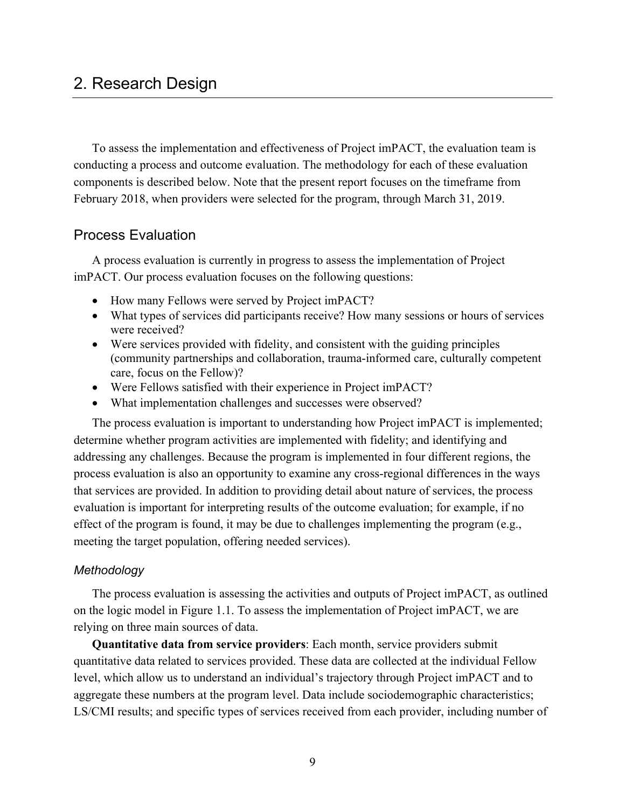## 2. Research Design

To assess the implementation and effectiveness of Project imPACT, the evaluation team is conducting a process and outcome evaluation. The methodology for each of these evaluation components is described below. Note that the present report focuses on the timeframe from February 2018, when providers were selected for the program, through March 31, 2019.

## Process Evaluation

A process evaluation is currently in progress to assess the implementation of Project imPACT. Our process evaluation focuses on the following questions:

- How many Fellows were served by Project imPACT?
- What types of services did participants receive? How many sessions or hours of services were received?
- Were services provided with fidelity, and consistent with the guiding principles (community partnerships and collaboration, trauma-informed care, culturally competent care, focus on the Fellow)?
- Were Fellows satisfied with their experience in Project imPACT?
- What implementation challenges and successes were observed?

The process evaluation is important to understanding how Project imPACT is implemented; determine whether program activities are implemented with fidelity; and identifying and addressing any challenges. Because the program is implemented in four different regions, the process evaluation is also an opportunity to examine any cross-regional differences in the ways that services are provided. In addition to providing detail about nature of services, the process evaluation is important for interpreting results of the outcome evaluation; for example, if no effect of the program is found, it may be due to challenges implementing the program (e.g., meeting the target population, offering needed services).

#### *Methodology*

The process evaluation is assessing the activities and outputs of Project imPACT, as outlined on the logic model in Figure 1.1. To assess the implementation of Project imPACT, we are relying on three main sources of data.

**Quantitative data from service providers**: Each month, service providers submit quantitative data related to services provided. These data are collected at the individual Fellow level, which allow us to understand an individual's trajectory through Project imPACT and to aggregate these numbers at the program level. Data include sociodemographic characteristics; LS/CMI results; and specific types of services received from each provider, including number of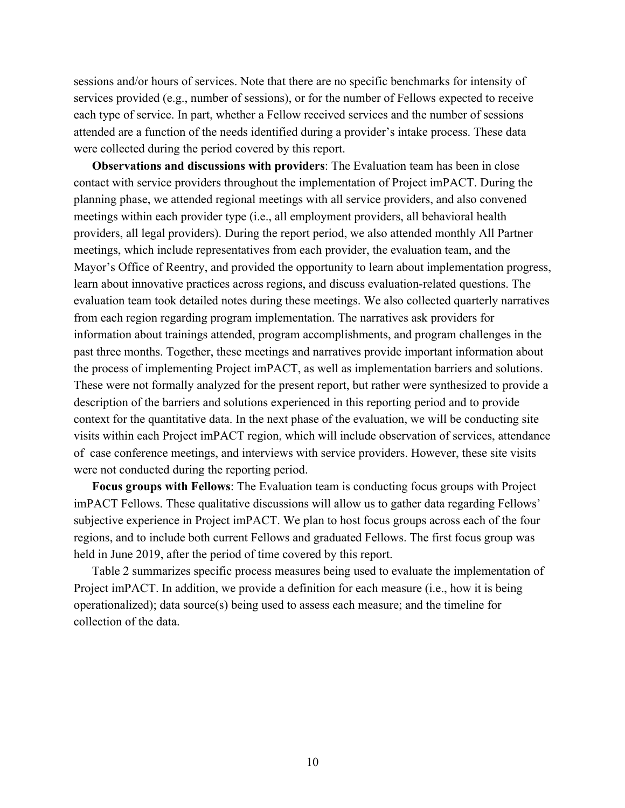sessions and/or hours of services. Note that there are no specific benchmarks for intensity of services provided (e.g., number of sessions), or for the number of Fellows expected to receive each type of service. In part, whether a Fellow received services and the number of sessions attended are a function of the needs identified during a provider's intake process. These data were collected during the period covered by this report.

**Observations and discussions with providers**: The Evaluation team has been in close contact with service providers throughout the implementation of Project imPACT. During the planning phase, we attended regional meetings with all service providers, and also convened meetings within each provider type (i.e., all employment providers, all behavioral health providers, all legal providers). During the report period, we also attended monthly All Partner meetings, which include representatives from each provider, the evaluation team, and the Mayor's Office of Reentry, and provided the opportunity to learn about implementation progress, learn about innovative practices across regions, and discuss evaluation-related questions. The evaluation team took detailed notes during these meetings. We also collected quarterly narratives from each region regarding program implementation. The narratives ask providers for information about trainings attended, program accomplishments, and program challenges in the past three months. Together, these meetings and narratives provide important information about the process of implementing Project imPACT, as well as implementation barriers and solutions. These were not formally analyzed for the present report, but rather were synthesized to provide a description of the barriers and solutions experienced in this reporting period and to provide context for the quantitative data. In the next phase of the evaluation, we will be conducting site visits within each Project imPACT region, which will include observation of services, attendance of case conference meetings, and interviews with service providers. However, these site visits were not conducted during the reporting period.

**Focus groups with Fellows**: The Evaluation team is conducting focus groups with Project imPACT Fellows. These qualitative discussions will allow us to gather data regarding Fellows' subjective experience in Project imPACT. We plan to host focus groups across each of the four regions, and to include both current Fellows and graduated Fellows. The first focus group was held in June 2019, after the period of time covered by this report.

Table 2 summarizes specific process measures being used to evaluate the implementation of Project imPACT. In addition, we provide a definition for each measure (i.e., how it is being operationalized); data source(s) being used to assess each measure; and the timeline for collection of the data.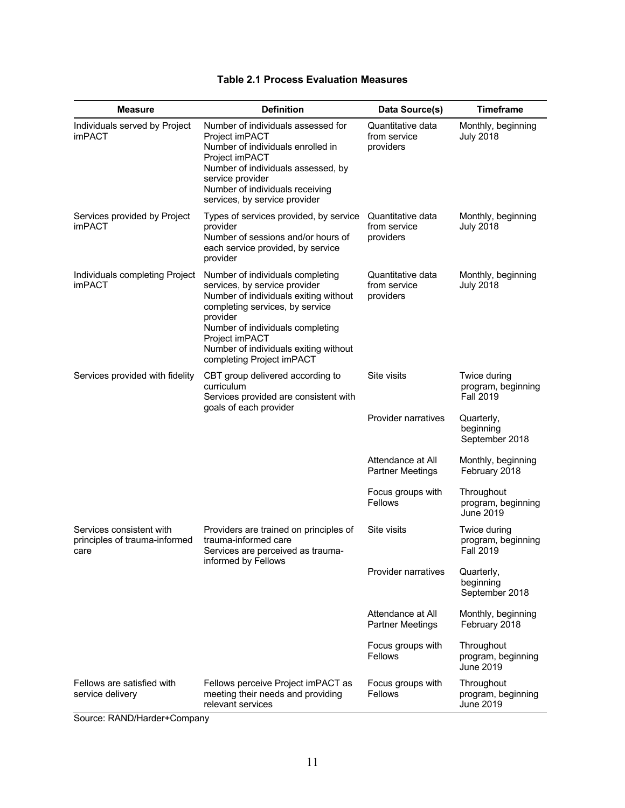| <b>Measure</b>                                                    | <b>Definition</b>                                                                                                                                                                                                                                                                     | Data Source(s)                                 | <b>Timeframe</b>                                       |
|-------------------------------------------------------------------|---------------------------------------------------------------------------------------------------------------------------------------------------------------------------------------------------------------------------------------------------------------------------------------|------------------------------------------------|--------------------------------------------------------|
| Individuals served by Project<br><b>imPACT</b>                    | Number of individuals assessed for<br>Project imPACT<br>Number of individuals enrolled in<br>Project imPACT<br>Number of individuals assessed, by<br>service provider<br>Number of individuals receiving<br>services, by service provider                                             | Quantitative data<br>from service<br>providers | Monthly, beginning<br><b>July 2018</b>                 |
| Services provided by Project<br>imPACT                            | Types of services provided, by service<br>provider<br>Number of sessions and/or hours of<br>each service provided, by service<br>provider                                                                                                                                             | Quantitative data<br>from service<br>providers | Monthly, beginning<br><b>July 2018</b>                 |
| Individuals completing Project<br><b>imPACT</b>                   | Number of individuals completing<br>services, by service provider<br>Number of individuals exiting without<br>completing services, by service<br>provider<br>Number of individuals completing<br>Project imPACT<br>Number of individuals exiting without<br>completing Project imPACT | Quantitative data<br>from service<br>providers | Monthly, beginning<br><b>July 2018</b>                 |
| Services provided with fidelity                                   | CBT group delivered according to<br>curriculum<br>Services provided are consistent with<br>goals of each provider                                                                                                                                                                     | Site visits                                    | Twice during<br>program, beginning<br><b>Fall 2019</b> |
|                                                                   |                                                                                                                                                                                                                                                                                       | <b>Provider narratives</b>                     | Quarterly,<br>beginning<br>September 2018              |
|                                                                   |                                                                                                                                                                                                                                                                                       | Attendance at All<br><b>Partner Meetings</b>   | Monthly, beginning<br>February 2018                    |
|                                                                   |                                                                                                                                                                                                                                                                                       | Focus groups with<br>Fellows                   | Throughout<br>program, beginning<br>June 2019          |
| Services consistent with<br>principles of trauma-informed<br>care | Providers are trained on principles of<br>trauma-informed care<br>Services are perceived as trauma-                                                                                                                                                                                   | Site visits                                    | Twice during<br>program, beginning<br><b>Fall 2019</b> |
|                                                                   | informed by Fellows                                                                                                                                                                                                                                                                   | Provider narratives                            | Quarterly,<br>beginning<br>September 2018              |
|                                                                   |                                                                                                                                                                                                                                                                                       | Attendance at All<br><b>Partner Meetings</b>   | Monthly, beginning<br>February 2018                    |
|                                                                   |                                                                                                                                                                                                                                                                                       | Focus groups with<br>Fellows                   | Throughout<br>program, beginning<br>June 2019          |
| Fellows are satisfied with<br>service delivery                    | Fellows perceive Project imPACT as<br>meeting their needs and providing<br>relevant services                                                                                                                                                                                          | Focus groups with<br>Fellows                   | Throughout<br>program, beginning<br>June 2019          |

#### **Table 2.1 Process Evaluation Measures**

Source: RAND/Harder+Company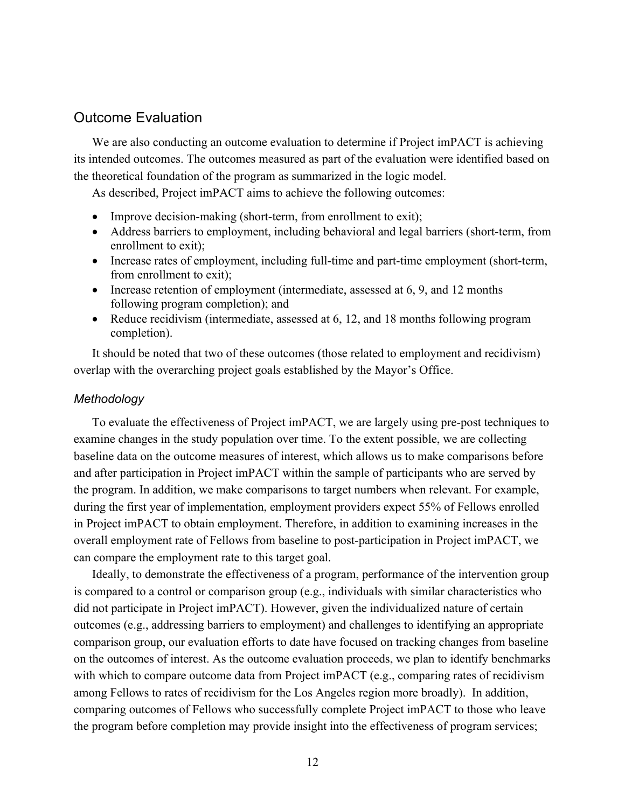## Outcome Evaluation

We are also conducting an outcome evaluation to determine if Project imPACT is achieving its intended outcomes. The outcomes measured as part of the evaluation were identified based on the theoretical foundation of the program as summarized in the logic model.

As described, Project imPACT aims to achieve the following outcomes:

- Improve decision-making (short-term, from enrollment to exit);
- Address barriers to employment, including behavioral and legal barriers (short-term, from enrollment to exit);
- Increase rates of employment, including full-time and part-time employment (short-term, from enrollment to exit);
- Increase retention of employment (intermediate, assessed at 6, 9, and 12 months following program completion); and
- Reduce recidivism (intermediate, assessed at 6, 12, and 18 months following program completion).

It should be noted that two of these outcomes (those related to employment and recidivism) overlap with the overarching project goals established by the Mayor's Office.

#### *Methodology*

To evaluate the effectiveness of Project imPACT, we are largely using pre-post techniques to examine changes in the study population over time. To the extent possible, we are collecting baseline data on the outcome measures of interest, which allows us to make comparisons before and after participation in Project imPACT within the sample of participants who are served by the program. In addition, we make comparisons to target numbers when relevant. For example, during the first year of implementation, employment providers expect 55% of Fellows enrolled in Project imPACT to obtain employment. Therefore, in addition to examining increases in the overall employment rate of Fellows from baseline to post-participation in Project imPACT, we can compare the employment rate to this target goal.

Ideally, to demonstrate the effectiveness of a program, performance of the intervention group is compared to a control or comparison group (e.g., individuals with similar characteristics who did not participate in Project imPACT). However, given the individualized nature of certain outcomes (e.g., addressing barriers to employment) and challenges to identifying an appropriate comparison group, our evaluation efforts to date have focused on tracking changes from baseline on the outcomes of interest. As the outcome evaluation proceeds, we plan to identify benchmarks with which to compare outcome data from Project imPACT (e.g., comparing rates of recidivism among Fellows to rates of recidivism for the Los Angeles region more broadly). In addition, comparing outcomes of Fellows who successfully complete Project imPACT to those who leave the program before completion may provide insight into the effectiveness of program services;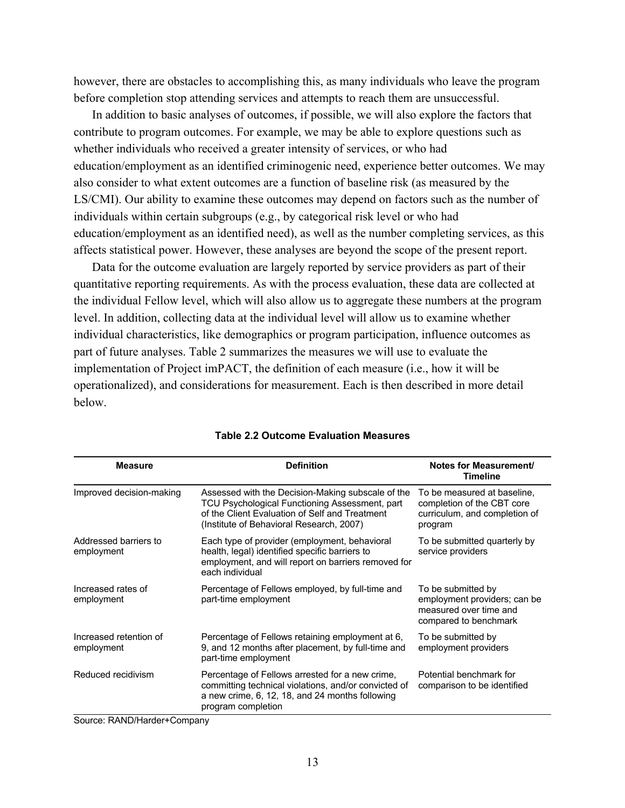however, there are obstacles to accomplishing this, as many individuals who leave the program before completion stop attending services and attempts to reach them are unsuccessful.

In addition to basic analyses of outcomes, if possible, we will also explore the factors that contribute to program outcomes. For example, we may be able to explore questions such as whether individuals who received a greater intensity of services, or who had education/employment as an identified criminogenic need, experience better outcomes. We may also consider to what extent outcomes are a function of baseline risk (as measured by the LS/CMI). Our ability to examine these outcomes may depend on factors such as the number of individuals within certain subgroups (e.g., by categorical risk level or who had education/employment as an identified need), as well as the number completing services, as this affects statistical power. However, these analyses are beyond the scope of the present report.

Data for the outcome evaluation are largely reported by service providers as part of their quantitative reporting requirements. As with the process evaluation, these data are collected at the individual Fellow level, which will also allow us to aggregate these numbers at the program level. In addition, collecting data at the individual level will allow us to examine whether individual characteristics, like demographics or program participation, influence outcomes as part of future analyses. Table 2 summarizes the measures we will use to evaluate the implementation of Project imPACT, the definition of each measure (i.e., how it will be operationalized), and considerations for measurement. Each is then described in more detail below.

| <b>Measure</b>                       | <b>Definition</b>                                                                                                                                                                                 | Notes for Measurement/<br><b>Timeline</b>                                                             |  |  |
|--------------------------------------|---------------------------------------------------------------------------------------------------------------------------------------------------------------------------------------------------|-------------------------------------------------------------------------------------------------------|--|--|
| Improved decision-making             | Assessed with the Decision-Making subscale of the<br>TCU Psychological Functioning Assessment, part<br>of the Client Evaluation of Self and Treatment<br>(Institute of Behavioral Research, 2007) | To be measured at baseline,<br>completion of the CBT core<br>curriculum, and completion of<br>program |  |  |
| Addressed barriers to<br>employment  | Each type of provider (employment, behavioral<br>health, legal) identified specific barriers to<br>employment, and will report on barriers removed for<br>each individual                         | To be submitted quarterly by<br>service providers                                                     |  |  |
| Increased rates of<br>employment     | Percentage of Fellows employed, by full-time and<br>part-time employment                                                                                                                          | To be submitted by<br>employment providers; can be<br>measured over time and<br>compared to benchmark |  |  |
| Increased retention of<br>employment | Percentage of Fellows retaining employment at 6,<br>9, and 12 months after placement, by full-time and<br>part-time employment                                                                    | To be submitted by<br>employment providers                                                            |  |  |
| Reduced recidivism                   | Percentage of Fellows arrested for a new crime,<br>committing technical violations, and/or convicted of<br>a new crime, 6, 12, 18, and 24 months following<br>program completion                  | Potential benchmark for<br>comparison to be identified                                                |  |  |

#### **Table 2.2 Outcome Evaluation Measures**

Source: RAND/Harder+Company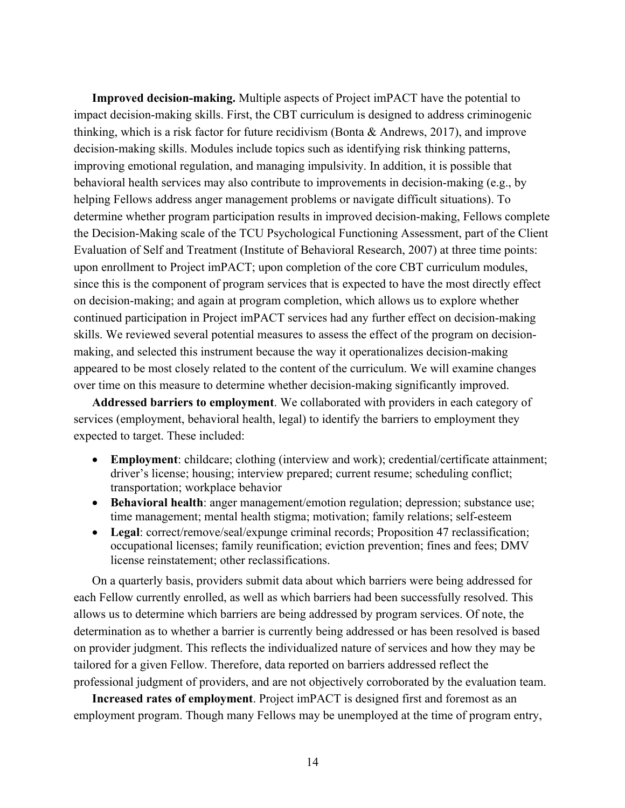**Improved decision-making.** Multiple aspects of Project imPACT have the potential to impact decision-making skills. First, the CBT curriculum is designed to address criminogenic thinking, which is a risk factor for future recidivism (Bonta & Andrews, 2017), and improve decision-making skills. Modules include topics such as identifying risk thinking patterns, improving emotional regulation, and managing impulsivity. In addition, it is possible that behavioral health services may also contribute to improvements in decision-making (e.g., by helping Fellows address anger management problems or navigate difficult situations). To determine whether program participation results in improved decision-making, Fellows complete the Decision-Making scale of the TCU Psychological Functioning Assessment, part of the Client Evaluation of Self and Treatment (Institute of Behavioral Research, 2007) at three time points: upon enrollment to Project imPACT; upon completion of the core CBT curriculum modules, since this is the component of program services that is expected to have the most directly effect on decision-making; and again at program completion, which allows us to explore whether continued participation in Project imPACT services had any further effect on decision-making skills. We reviewed several potential measures to assess the effect of the program on decisionmaking, and selected this instrument because the way it operationalizes decision-making appeared to be most closely related to the content of the curriculum. We will examine changes over time on this measure to determine whether decision-making significantly improved.

**Addressed barriers to employment**. We collaborated with providers in each category of services (employment, behavioral health, legal) to identify the barriers to employment they expected to target. These included:

- **Employment**: childcare; clothing (interview and work); credential/certificate attainment; driver's license; housing; interview prepared; current resume; scheduling conflict; transportation; workplace behavior
- **Behavioral health**: anger management/emotion regulation; depression; substance use; time management; mental health stigma; motivation; family relations; self-esteem
- Legal: correct/remove/seal/expunge criminal records; Proposition 47 reclassification; occupational licenses; family reunification; eviction prevention; fines and fees; DMV license reinstatement; other reclassifications.

On a quarterly basis, providers submit data about which barriers were being addressed for each Fellow currently enrolled, as well as which barriers had been successfully resolved. This allows us to determine which barriers are being addressed by program services. Of note, the determination as to whether a barrier is currently being addressed or has been resolved is based on provider judgment. This reflects the individualized nature of services and how they may be tailored for a given Fellow. Therefore, data reported on barriers addressed reflect the professional judgment of providers, and are not objectively corroborated by the evaluation team.

**Increased rates of employment**. Project imPACT is designed first and foremost as an employment program. Though many Fellows may be unemployed at the time of program entry,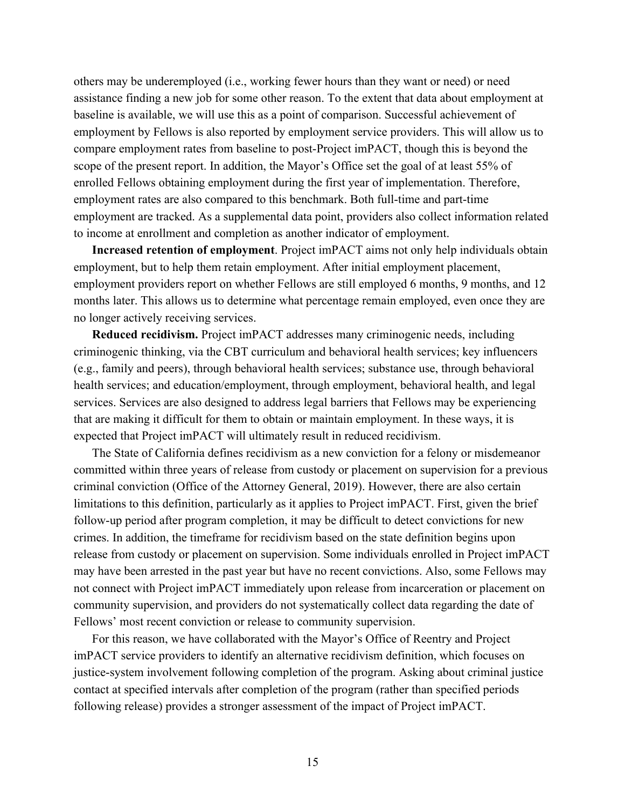others may be underemployed (i.e., working fewer hours than they want or need) or need assistance finding a new job for some other reason. To the extent that data about employment at baseline is available, we will use this as a point of comparison. Successful achievement of employment by Fellows is also reported by employment service providers. This will allow us to compare employment rates from baseline to post-Project imPACT, though this is beyond the scope of the present report. In addition, the Mayor's Office set the goal of at least 55% of enrolled Fellows obtaining employment during the first year of implementation. Therefore, employment rates are also compared to this benchmark. Both full-time and part-time employment are tracked. As a supplemental data point, providers also collect information related to income at enrollment and completion as another indicator of employment.

**Increased retention of employment**. Project imPACT aims not only help individuals obtain employment, but to help them retain employment. After initial employment placement, employment providers report on whether Fellows are still employed 6 months, 9 months, and 12 months later. This allows us to determine what percentage remain employed, even once they are no longer actively receiving services.

**Reduced recidivism.** Project imPACT addresses many criminogenic needs, including criminogenic thinking, via the CBT curriculum and behavioral health services; key influencers (e.g., family and peers), through behavioral health services; substance use, through behavioral health services; and education/employment, through employment, behavioral health, and legal services. Services are also designed to address legal barriers that Fellows may be experiencing that are making it difficult for them to obtain or maintain employment. In these ways, it is expected that Project imPACT will ultimately result in reduced recidivism.

The State of California defines recidivism as a new conviction for a felony or misdemeanor committed within three years of release from custody or placement on supervision for a previous criminal conviction (Office of the Attorney General, 2019). However, there are also certain limitations to this definition, particularly as it applies to Project imPACT. First, given the brief follow-up period after program completion, it may be difficult to detect convictions for new crimes. In addition, the timeframe for recidivism based on the state definition begins upon release from custody or placement on supervision. Some individuals enrolled in Project imPACT may have been arrested in the past year but have no recent convictions. Also, some Fellows may not connect with Project imPACT immediately upon release from incarceration or placement on community supervision, and providers do not systematically collect data regarding the date of Fellows' most recent conviction or release to community supervision.

For this reason, we have collaborated with the Mayor's Office of Reentry and Project imPACT service providers to identify an alternative recidivism definition, which focuses on justice-system involvement following completion of the program. Asking about criminal justice contact at specified intervals after completion of the program (rather than specified periods following release) provides a stronger assessment of the impact of Project imPACT.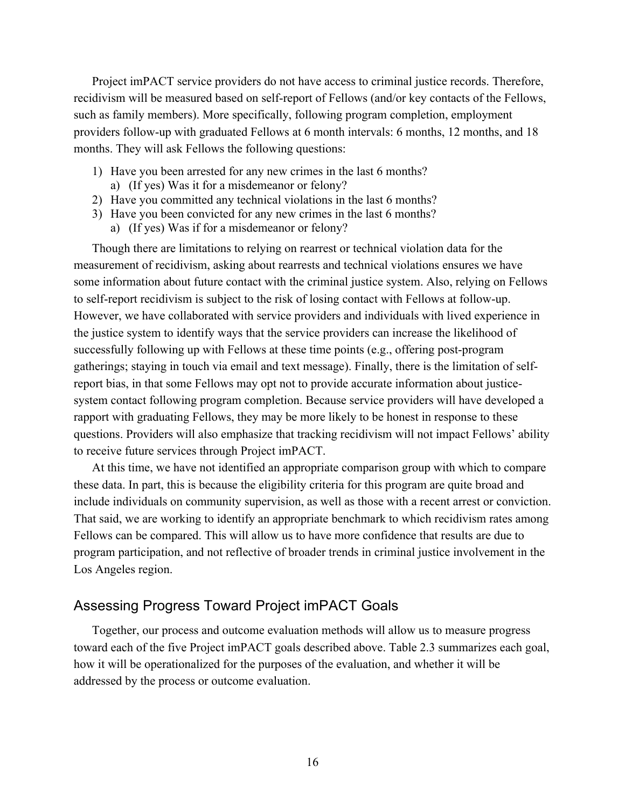Project imPACT service providers do not have access to criminal justice records. Therefore, recidivism will be measured based on self-report of Fellows (and/or key contacts of the Fellows, such as family members). More specifically, following program completion, employment providers follow-up with graduated Fellows at 6 month intervals: 6 months, 12 months, and 18 months. They will ask Fellows the following questions:

- 1) Have you been arrested for any new crimes in the last 6 months?
	- a) (If yes) Was it for a misdemeanor or felony?
- 2) Have you committed any technical violations in the last 6 months?
- 3) Have you been convicted for any new crimes in the last 6 months?
	- a) (If yes) Was if for a misdemeanor or felony?

Though there are limitations to relying on rearrest or technical violation data for the measurement of recidivism, asking about rearrests and technical violations ensures we have some information about future contact with the criminal justice system. Also, relying on Fellows to self-report recidivism is subject to the risk of losing contact with Fellows at follow-up. However, we have collaborated with service providers and individuals with lived experience in the justice system to identify ways that the service providers can increase the likelihood of successfully following up with Fellows at these time points (e.g., offering post-program gatherings; staying in touch via email and text message). Finally, there is the limitation of selfreport bias, in that some Fellows may opt not to provide accurate information about justicesystem contact following program completion. Because service providers will have developed a rapport with graduating Fellows, they may be more likely to be honest in response to these questions. Providers will also emphasize that tracking recidivism will not impact Fellows' ability to receive future services through Project imPACT.

At this time, we have not identified an appropriate comparison group with which to compare these data. In part, this is because the eligibility criteria for this program are quite broad and include individuals on community supervision, as well as those with a recent arrest or conviction. That said, we are working to identify an appropriate benchmark to which recidivism rates among Fellows can be compared. This will allow us to have more confidence that results are due to program participation, and not reflective of broader trends in criminal justice involvement in the Los Angeles region.

## Assessing Progress Toward Project imPACT Goals

Together, our process and outcome evaluation methods will allow us to measure progress toward each of the five Project imPACT goals described above. Table 2.3 summarizes each goal, how it will be operationalized for the purposes of the evaluation, and whether it will be addressed by the process or outcome evaluation.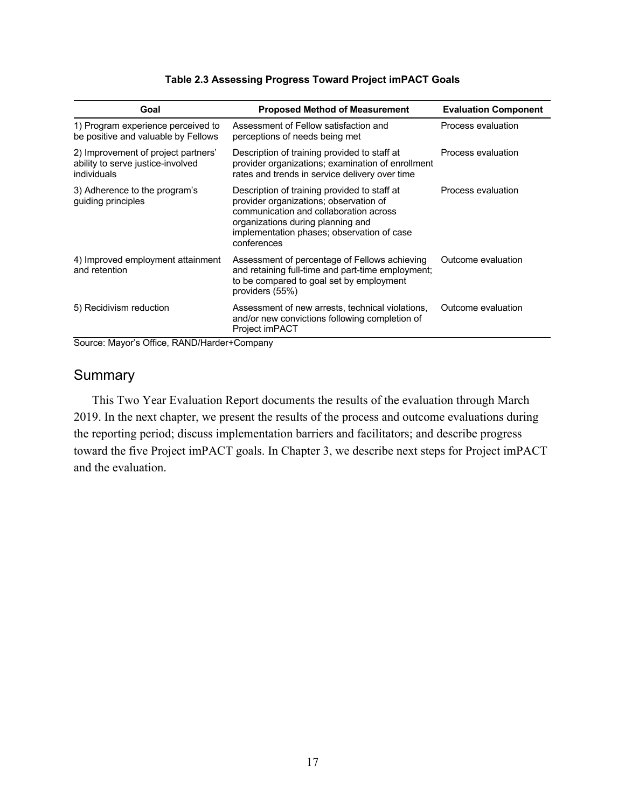| Goal                                                                                    | <b>Proposed Method of Measurement</b>                                                                                                                                                                                              | <b>Evaluation Component</b> |
|-----------------------------------------------------------------------------------------|------------------------------------------------------------------------------------------------------------------------------------------------------------------------------------------------------------------------------------|-----------------------------|
| 1) Program experience perceived to<br>be positive and valuable by Fellows               | Assessment of Fellow satisfaction and<br>perceptions of needs being met                                                                                                                                                            | Process evaluation          |
| 2) Improvement of project partners'<br>ability to serve justice-involved<br>individuals | Description of training provided to staff at<br>provider organizations; examination of enrollment<br>rates and trends in service delivery over time                                                                                | Process evaluation          |
| 3) Adherence to the program's<br>guiding principles                                     | Description of training provided to staff at<br>provider organizations; observation of<br>communication and collaboration across<br>organizations during planning and<br>implementation phases; observation of case<br>conferences | Process evaluation          |
| 4) Improved employment attainment<br>and retention                                      | Assessment of percentage of Fellows achieving<br>and retaining full-time and part-time employment;<br>to be compared to goal set by employment<br>providers (55%)                                                                  | Outcome evaluation          |
| 5) Recidivism reduction<br>$\ddot{\phantom{1}}$<br>$\sim$ $\sim$<br><b>BALLBUI</b>      | Assessment of new arrests, technical violations,<br>and/or new convictions following completion of<br>Project imPACT<br>$\sim$                                                                                                     | Outcome evaluation          |

#### **Table 2.3 Assessing Progress Toward Project imPACT Goals**

Source: Mayor's Office, RAND/Harder+Company

## Summary

This Two Year Evaluation Report documents the results of the evaluation through March 2019. In the next chapter, we present the results of the process and outcome evaluations during the reporting period; discuss implementation barriers and facilitators; and describe progress toward the five Project imPACT goals. In Chapter 3, we describe next steps for Project imPACT and the evaluation.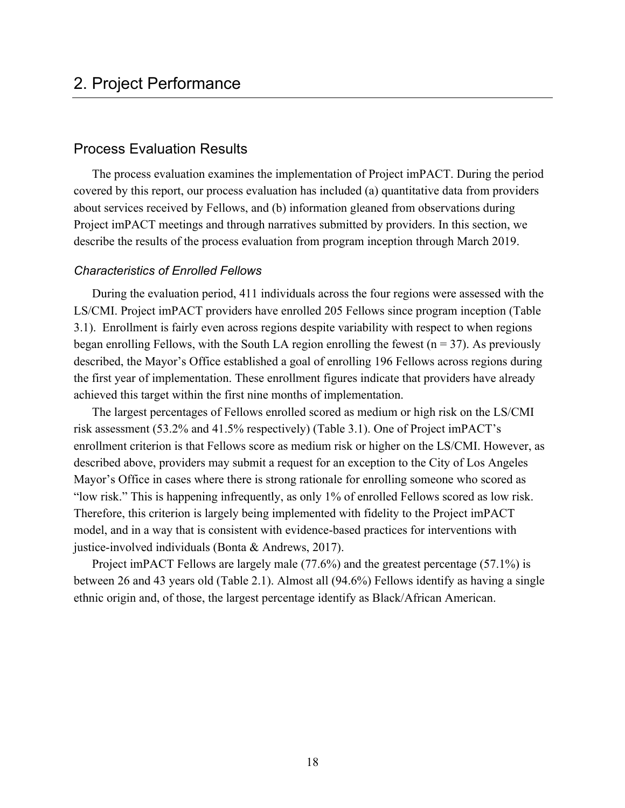## 2. Project Performance

#### Process Evaluation Results

The process evaluation examines the implementation of Project imPACT. During the period covered by this report, our process evaluation has included (a) quantitative data from providers about services received by Fellows, and (b) information gleaned from observations during Project imPACT meetings and through narratives submitted by providers. In this section, we describe the results of the process evaluation from program inception through March 2019.

#### *Characteristics of Enrolled Fellows*

During the evaluation period, 411 individuals across the four regions were assessed with the LS/CMI. Project imPACT providers have enrolled 205 Fellows since program inception (Table 3.1). Enrollment is fairly even across regions despite variability with respect to when regions began enrolling Fellows, with the South LA region enrolling the fewest  $(n = 37)$ . As previously described, the Mayor's Office established a goal of enrolling 196 Fellows across regions during the first year of implementation. These enrollment figures indicate that providers have already achieved this target within the first nine months of implementation.

The largest percentages of Fellows enrolled scored as medium or high risk on the LS/CMI risk assessment (53.2% and 41.5% respectively) (Table 3.1). One of Project imPACT's enrollment criterion is that Fellows score as medium risk or higher on the LS/CMI. However, as described above, providers may submit a request for an exception to the City of Los Angeles Mayor's Office in cases where there is strong rationale for enrolling someone who scored as "low risk." This is happening infrequently, as only 1% of enrolled Fellows scored as low risk. Therefore, this criterion is largely being implemented with fidelity to the Project imPACT model, and in a way that is consistent with evidence-based practices for interventions with justice-involved individuals (Bonta & Andrews, 2017).

Project imPACT Fellows are largely male (77.6%) and the greatest percentage (57.1%) is between 26 and 43 years old (Table 2.1). Almost all (94.6%) Fellows identify as having a single ethnic origin and, of those, the largest percentage identify as Black/African American.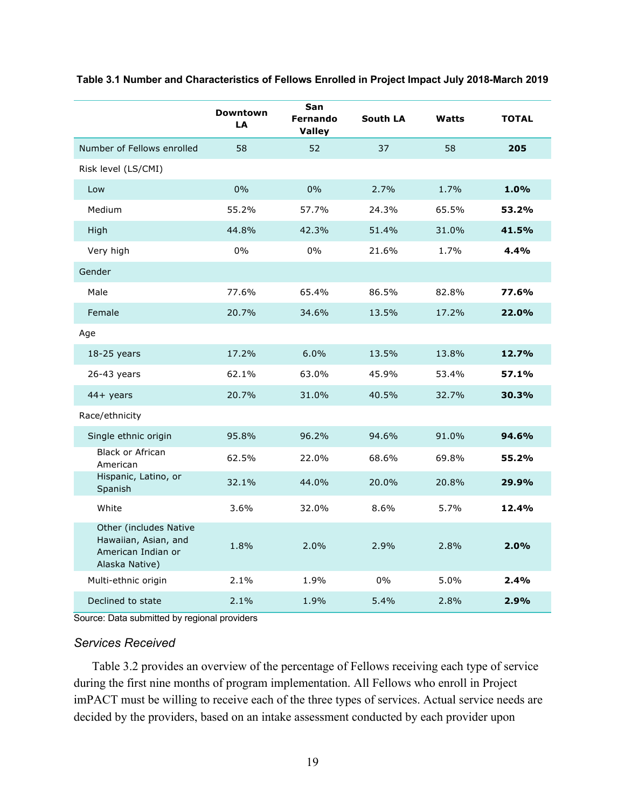|                                                                                        | <b>Downtown</b><br>LA | San<br>Fernando<br><b>Valley</b> | <b>South LA</b> | Watts | <b>TOTAL</b> |
|----------------------------------------------------------------------------------------|-----------------------|----------------------------------|-----------------|-------|--------------|
| Number of Fellows enrolled                                                             | 58                    | 52                               | 37              | 58    | 205          |
| Risk level (LS/CMI)                                                                    |                       |                                  |                 |       |              |
| Low                                                                                    | 0%                    | 0%                               | 2.7%            | 1.7%  | 1.0%         |
| Medium                                                                                 | 55.2%                 | 57.7%                            | 24.3%           | 65.5% | 53.2%        |
| High                                                                                   | 44.8%                 | 42.3%                            | 51.4%           | 31.0% | 41.5%        |
| Very high                                                                              | 0%                    | $0\%$                            | 21.6%           | 1.7%  | 4.4%         |
| Gender                                                                                 |                       |                                  |                 |       |              |
| Male                                                                                   | 77.6%                 | 65.4%                            | 86.5%           | 82.8% | 77.6%        |
| Female                                                                                 | 20.7%                 | 34.6%                            | 13.5%           | 17.2% | 22.0%        |
| Age                                                                                    |                       |                                  |                 |       |              |
| $18-25$ years                                                                          | 17.2%                 | 6.0%                             | 13.5%           | 13.8% | 12.7%        |
| $26-43$ years                                                                          | 62.1%                 | 63.0%                            | 45.9%           | 53.4% | 57.1%        |
| $44+$ years                                                                            | 20.7%                 | 31.0%                            | 40.5%           | 32.7% | 30.3%        |
| Race/ethnicity                                                                         |                       |                                  |                 |       |              |
| Single ethnic origin                                                                   | 95.8%                 | 96.2%                            | 94.6%           | 91.0% | 94.6%        |
| <b>Black or African</b><br>American                                                    | 62.5%                 | 22.0%                            | 68.6%           | 69.8% | 55.2%        |
| Hispanic, Latino, or<br>Spanish                                                        | 32.1%                 | 44.0%                            | 20.0%           | 20.8% | 29.9%        |
| White                                                                                  | 3.6%                  | 32.0%                            | 8.6%            | 5.7%  | 12.4%        |
| Other (includes Native<br>Hawaiian, Asian, and<br>American Indian or<br>Alaska Native) | 1.8%                  | 2.0%                             | 2.9%            | 2.8%  | 2.0%         |
| Multi-ethnic origin                                                                    | 2.1%                  | 1.9%                             | 0%              | 5.0%  | 2.4%         |
| Declined to state                                                                      | 2.1%                  | 1.9%                             | 5.4%            | 2.8%  | 2.9%         |

#### **Table 3.1 Number and Characteristics of Fellows Enrolled in Project Impact July 2018-March 2019**

Source: Data submitted by regional providers

#### *Services Received*

Table 3.2 provides an overview of the percentage of Fellows receiving each type of service during the first nine months of program implementation. All Fellows who enroll in Project imPACT must be willing to receive each of the three types of services. Actual service needs are decided by the providers, based on an intake assessment conducted by each provider upon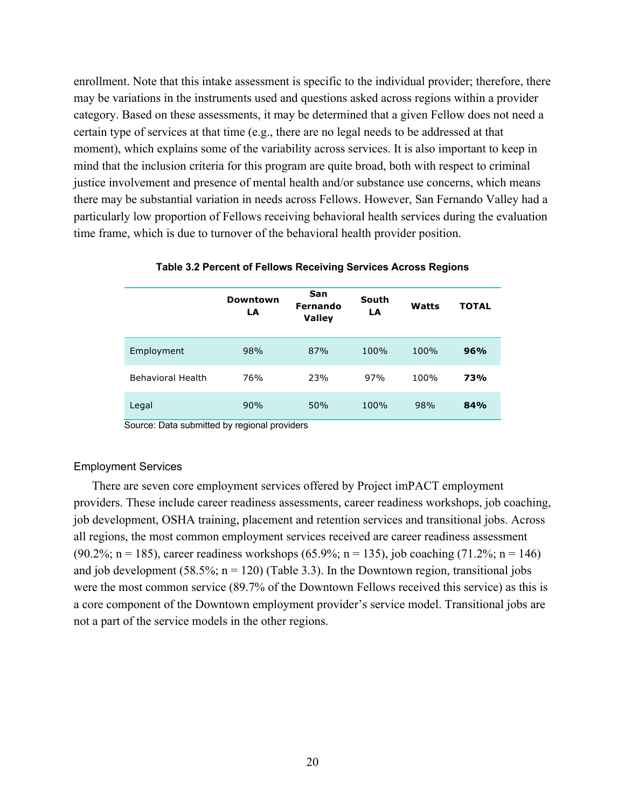enrollment. Note that this intake assessment is specific to the individual provider; therefore, there may be variations in the instruments used and questions asked across regions within a provider category. Based on these assessments, it may be determined that a given Fellow does not need a certain type of services at that time (e.g., there are no legal needs to be addressed at that moment), which explains some of the variability across services. It is also important to keep in mind that the inclusion criteria for this program are quite broad, both with respect to criminal justice involvement and presence of mental health and/or substance use concerns, which means there may be substantial variation in needs across Fellows. However, San Fernando Valley had a particularly low proportion of Fellows receiving behavioral health services during the evaluation time frame, which is due to turnover of the behavioral health provider position.

|                   | <b>Downtown</b><br>LA | San<br>Fernando<br><b>Valley</b> | South<br>LA | Watts | TOTAL |
|-------------------|-----------------------|----------------------------------|-------------|-------|-------|
| Employment        | 98%                   | 87%                              | 100%        | 100%  | 96%   |
| Behavioral Health | 76%                   | 23%                              | 97%         | 100%  | 73%   |
| Legal             | 90%                   | 50%                              | 100%        | 98%   | 84%   |

#### **Table 3.2 Percent of Fellows Receiving Services Across Regions**

Source: Data submitted by regional providers

#### Employment Services

There are seven core employment services offered by Project imPACT employment providers. These include career readiness assessments, career readiness workshops, job coaching, job development, OSHA training, placement and retention services and transitional jobs. Across all regions, the most common employment services received are career readiness assessment (90.2%; n = 185), career readiness workshops (65.9%; n = 135), job coaching (71.2%; n = 146) and job development  $(58.5\%; n = 120)$  (Table 3.3). In the Downtown region, transitional jobs were the most common service (89.7% of the Downtown Fellows received this service) as this is a core component of the Downtown employment provider's service model. Transitional jobs are not a part of the service models in the other regions.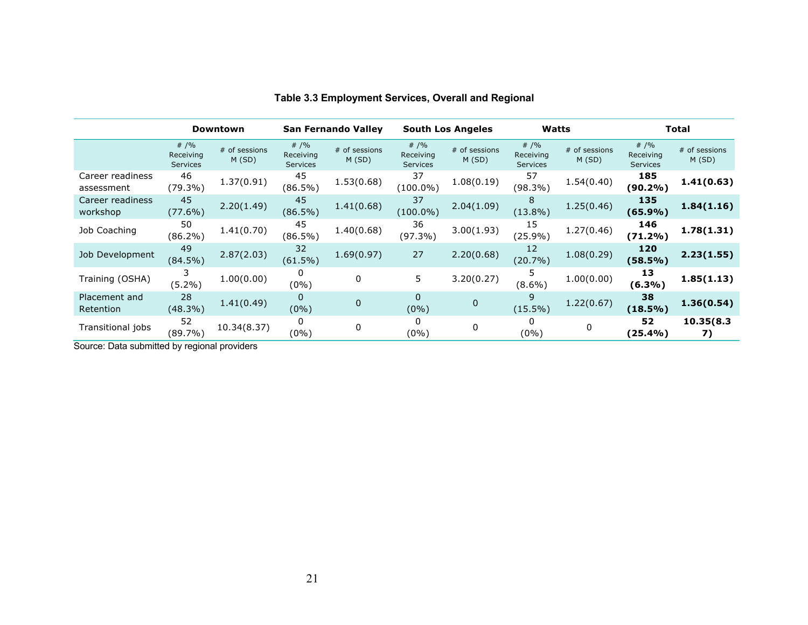|                                | <b>Downtown</b>                   |                        |                                         | <b>San Fernando Valley</b><br><b>South Los Angeles</b> |                                  |                        | Watts                            |                        | <b>Total</b>                             |                        |
|--------------------------------|-----------------------------------|------------------------|-----------------------------------------|--------------------------------------------------------|----------------------------------|------------------------|----------------------------------|------------------------|------------------------------------------|------------------------|
|                                | # $/9/0$<br>Receiving<br>Services | # of sessions<br>M(SD) | # $/$ %<br>Receiving<br><b>Services</b> | # of sessions<br>M(SD)                                 | # $/$ %<br>Receiving<br>Services | # of sessions<br>M(SD) | # $/$ %<br>Receiving<br>Services | # of sessions<br>M(SD) | # $/9/0$<br>Receiving<br><b>Services</b> | # of sessions<br>M(SD) |
| Career readiness<br>assessment | 46<br>$(79.3\%)$                  | 1.37(0.91)             | 45<br>$(86.5\%)$                        | 1.53(0.68)                                             | 37<br>$(100.0\%)$                | 1.08(0.19)             | 57<br>$(98.3\%)$                 | 1.54(0.40)             | 185<br>$(90.2\%)$                        | 1.41(0.63)             |
| Career readiness<br>workshop   | 45<br>$(77.6\%)$                  | 2.20(1.49)             | 45<br>$(86.5\%)$                        | 1.41(0.68)                                             | 37<br>$(100.0\%)$                | 2.04(1.09)             | 8<br>$(13.8\%)$                  | 1.25(0.46)             | 135<br>(65.9%)                           | 1.84(1.16)             |
| Job Coaching                   | 50<br>$(86.2\%)$                  | 1.41(0.70)             | 45<br>$(86.5\%)$                        | 1.40(0.68)                                             | 36<br>$(97.3\%)$                 | 3.00(1.93)             | 15<br>$(25.9\%)$                 | 1.27(0.46)             | 146<br>$(71.2\%)$                        | 1.78(1.31)             |
| Job Development                | 49<br>$(84.5\%)$                  | 2.87(2.03)             | 32<br>$(61.5\%)$                        | 1.69(0.97)                                             | 27                               | 2.20(0.68)             | 12<br>(20.7%)                    | 1.08(0.29)             | 120<br>$(58.5\%)$                        | 2.23(1.55)             |
| Training (OSHA)                | $(5.2\%)$                         | 1.00(0.00)             | 0<br>$(0\%)$                            | 0                                                      | 5                                | 3.20(0.27)             | $(8.6\%)$                        | 1.00(0.00)             | 13<br>$(6.3\%)$                          | 1.85(1.13)             |
| Placement and<br>Retention     | 28<br>$(48.3\%)$                  | 1.41(0.49)             | 0<br>(0% )                              | $\mathbf 0$                                            | $\mathbf 0$<br>$(0\%)$           | $\overline{0}$         | 9<br>$(15.5\%)$                  | 1.22(0.67)             | 38<br>$(18.5\%)$                         | 1.36(0.54)             |
| Transitional jobs              | 52<br>$(89.7\%)$                  | 10.34(8.37)            | 0<br>$(0\%)$                            | 0                                                      | 0<br>$(0\%)$                     | 0                      | 0<br>$(0\%)$                     | 0                      | 52<br>$(25.4\%)$                         | 10.35(8.3<br>7)        |

| Table 3.3 Employment Services, Overall and Regional |  |  |  |  |  |
|-----------------------------------------------------|--|--|--|--|--|
|-----------------------------------------------------|--|--|--|--|--|

Source: Data submitted by regional providers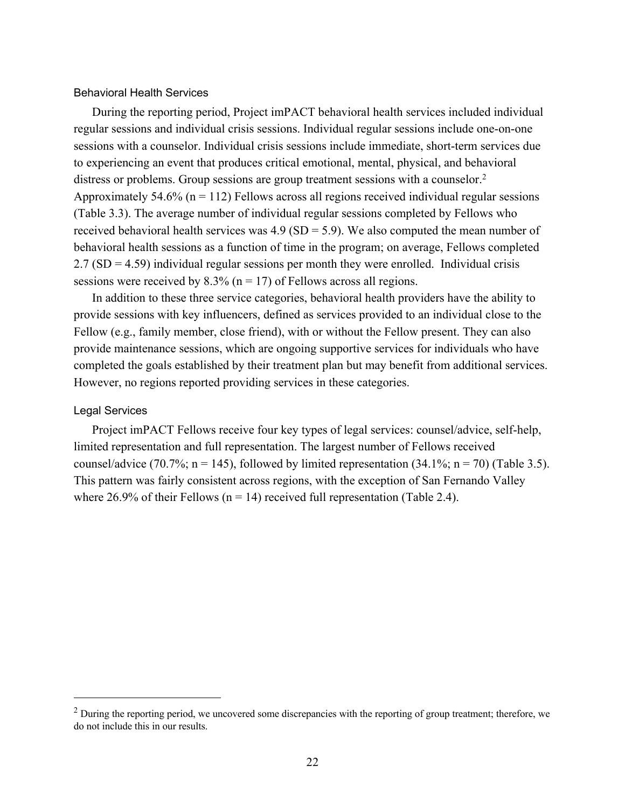#### Behavioral Health Services

During the reporting period, Project imPACT behavioral health services included individual regular sessions and individual crisis sessions. Individual regular sessions include one-on-one sessions with a counselor. Individual crisis sessions include immediate, short-term services due to experiencing an event that produces critical emotional, mental, physical, and behavioral distress or problems. Group sessions are group treatment sessions with a counselor.<sup>2</sup> Approximately 54.6% ( $n = 112$ ) Fellows across all regions received individual regular sessions (Table 3.3). The average number of individual regular sessions completed by Fellows who received behavioral health services was  $4.9$  (SD = 5.9). We also computed the mean number of behavioral health sessions as a function of time in the program; on average, Fellows completed  $2.7$  (SD = 4.59) individual regular sessions per month they were enrolled. Individual crisis sessions were received by 8.3% ( $n = 17$ ) of Fellows across all regions.

In addition to these three service categories, behavioral health providers have the ability to provide sessions with key influencers, defined as services provided to an individual close to the Fellow (e.g., family member, close friend), with or without the Fellow present. They can also provide maintenance sessions, which are ongoing supportive services for individuals who have completed the goals established by their treatment plan but may benefit from additional services. However, no regions reported providing services in these categories.

#### Legal Services

Project imPACT Fellows receive four key types of legal services: counsel/advice, self-help, limited representation and full representation. The largest number of Fellows received counsel/advice (70.7%;  $n = 145$ ), followed by limited representation (34.1%;  $n = 70$ ) (Table 3.5). This pattern was fairly consistent across regions, with the exception of San Fernando Valley where 26.9% of their Fellows ( $n = 14$ ) received full representation (Table 2.4).

 $2$  During the reporting period, we uncovered some discrepancies with the reporting of group treatment; therefore, we do not include this in our results.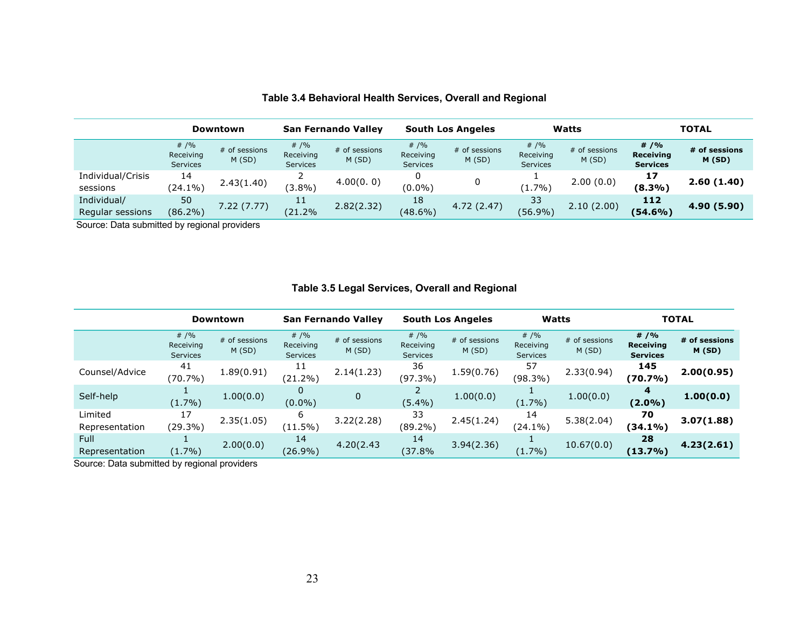|                                 | <b>Downtown</b>                          |                        | <b>San Fernando Valley</b>               |                        | <b>South Los Angeles</b>                 |                        | Watts                            |                        | <b>TOTAL</b>                                   |                        |
|---------------------------------|------------------------------------------|------------------------|------------------------------------------|------------------------|------------------------------------------|------------------------|----------------------------------|------------------------|------------------------------------------------|------------------------|
|                                 | # $/9/0$<br>Receiving<br><b>Services</b> | # of sessions<br>M(SD) | # $/9/0$<br>Receiving<br><b>Services</b> | # of sessions<br>M(SD) | # $/9/0$<br>Receiving<br><b>Services</b> | # of sessions<br>M(SD) | # $/$ %<br>Receiving<br>Services | # of sessions<br>M(SD) | # $/$ %<br><b>Receiving</b><br><b>Services</b> | # of sessions<br>M(SD) |
| Individual/Crisis<br>sessions   | 14<br>$(24.1\%)$                         | 2.43(1.40)             | $(3.8\%)$                                | 4.00(0.0)              | $(0.0\%)$                                | 0                      | (1.7%                            | 2.00(0.0)              | 17<br>$(8.3\%)$                                | 2.60(1.40)             |
| Individual/<br>Regular sessions | 50<br>$(86.2\%)$                         | 7.22(7.77)             | 11<br>(21.2%                             | 2.82(2.32)             | 18<br>$(48.6\%)$                         | 4.72(2.47)             | 33<br>$(56.9\%)$                 | 2.10(2.00)             | 112<br>$(54.6\%)$                              | 4.90 (5.90)            |

**Table 3.4 Behavioral Health Services, Overall and Regional**

Source: Data submitted by regional providers

## **Table 3.5 Legal Services, Overall and Regional**

|                               |                                          | <b>Downtown</b>        |                                          | <b>San Fernando Valley</b> |                                         | <b>South Los Angeles</b> | Watts                                    |                        |                                                | <b>TOTAL</b>           |
|-------------------------------|------------------------------------------|------------------------|------------------------------------------|----------------------------|-----------------------------------------|--------------------------|------------------------------------------|------------------------|------------------------------------------------|------------------------|
|                               | # $/9/0$<br>Receiving<br><b>Services</b> | # of sessions<br>M(SD) | # $/9/6$<br>Receiving<br><b>Services</b> | # of sessions<br>M(SD)     | # $/$ %<br>Receiving<br><b>Services</b> | # of sessions<br>M(SD)   | # $/9/0$<br>Receiving<br><b>Services</b> | # of sessions<br>M(SD) | # $/$ %<br><b>Receiving</b><br><b>Services</b> | # of sessions<br>M(SD) |
| Counsel/Advice                | 41<br>$(70.7\%)$                         | 1.89(0.91)             | 11<br>$(21.2\%)$                         | 2.14(1.23)                 | 36<br>$(97.3\%)$                        | 1.59(0.76)               | 57<br>$(98.3\%)$                         | 2.33(0.94)             | 145<br>$(70.7\%)$                              | 2.00(0.95)             |
| Self-help                     | $(1.7\%)$                                | 1.00(0.0)              | 0<br>$(0.0\%)$                           |                            | $(5.4\%)$                               | 1.00(0.0)                | $(1.7\%)$                                | 1.00(0.0)              | 4<br>(2.0%)                                    | 1.00(0.0)              |
| Limited<br>Representation     | 17<br>$(29.3\%)$                         | 2.35(1.05)             | 6<br>$(11.5\%)$                          | 3.22(2.28)                 | 33<br>$(89.2\%)$                        | 2.45(1.24)               | 14<br>$(24.1\%)$                         | 5.38(2.04)             | 70<br>(34.1%)                                  | 3.07(1.88)             |
| <b>Full</b><br>Representation | $(1.7\%)$                                | 2.00(0.0)              | 14<br>$(26.9\%)$                         | 4.20(2.43)                 | 14<br>(37.8%                            | 3.94(2.36)               | $(1.7\%)$                                | 10.67(0.0)             | 28<br>(13.7%)                                  | 4.23(2.61)             |

Source: Data submitted by regional providers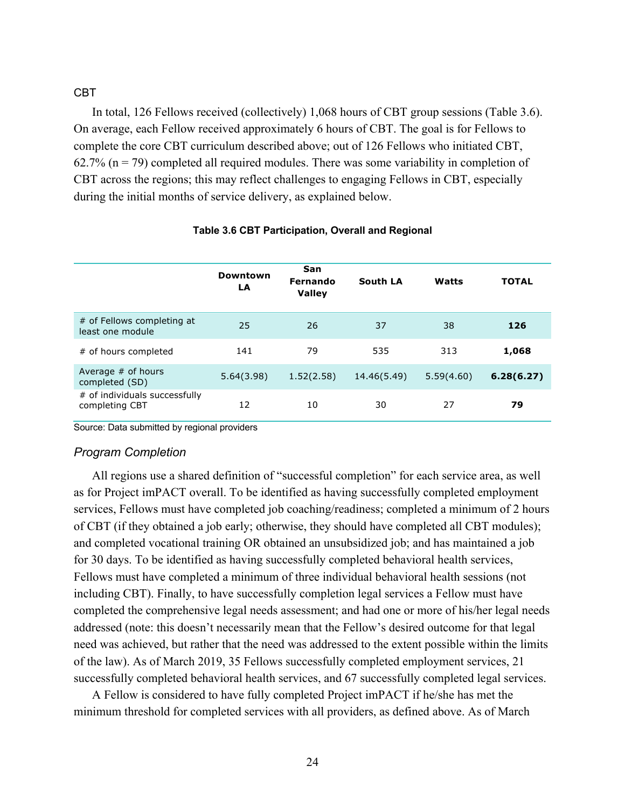#### CBT

In total, 126 Fellows received (collectively) 1,068 hours of CBT group sessions (Table 3.6). On average, each Fellow received approximately 6 hours of CBT. The goal is for Fellows to complete the core CBT curriculum described above; out of 126 Fellows who initiated CBT, 62.7% ( $n = 79$ ) completed all required modules. There was some variability in completion of CBT across the regions; this may reflect challenges to engaging Fellows in CBT, especially during the initial months of service delivery, as explained below.

|                                                 | <b>Downtown</b><br>LA | San<br>Fernando<br><b>Valley</b> | South LA    | Watts      | <b>TOTAL</b> |
|-------------------------------------------------|-----------------------|----------------------------------|-------------|------------|--------------|
| # of Fellows completing at<br>least one module  | 25                    | 26                               | 37          | 38         | 126          |
| # of hours completed                            | 141                   | 79                               | 535         | 313        | 1,068        |
| Average $#$ of hours<br>completed (SD)          | 5.64(3.98)            | 1.52(2.58)                       | 14.46(5.49) | 5.59(4.60) | 6.28(6.27)   |
| # of individuals successfully<br>completing CBT | 12                    | 10                               | 30          | 27         | 79           |

#### **Table 3.6 CBT Participation, Overall and Regional**

Source: Data submitted by regional providers

#### *Program Completion*

All regions use a shared definition of "successful completion" for each service area, as well as for Project imPACT overall. To be identified as having successfully completed employment services, Fellows must have completed job coaching/readiness; completed a minimum of 2 hours of CBT (if they obtained a job early; otherwise, they should have completed all CBT modules); and completed vocational training OR obtained an unsubsidized job; and has maintained a job for 30 days. To be identified as having successfully completed behavioral health services, Fellows must have completed a minimum of three individual behavioral health sessions (not including CBT). Finally, to have successfully completion legal services a Fellow must have completed the comprehensive legal needs assessment; and had one or more of his/her legal needs addressed (note: this doesn't necessarily mean that the Fellow's desired outcome for that legal need was achieved, but rather that the need was addressed to the extent possible within the limits of the law). As of March 2019, 35 Fellows successfully completed employment services, 21 successfully completed behavioral health services, and 67 successfully completed legal services.

A Fellow is considered to have fully completed Project imPACT if he/she has met the minimum threshold for completed services with all providers, as defined above. As of March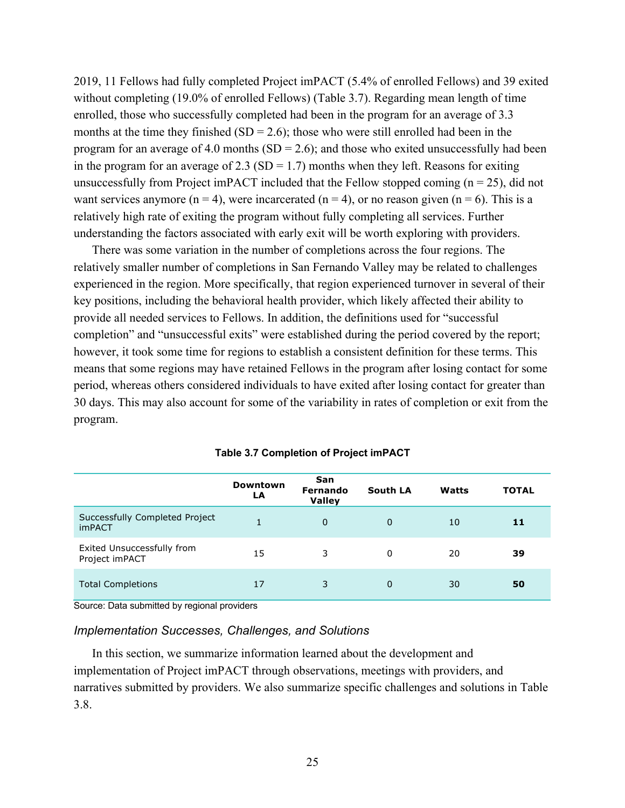2019, 11 Fellows had fully completed Project imPACT (5.4% of enrolled Fellows) and 39 exited without completing (19.0% of enrolled Fellows) (Table 3.7). Regarding mean length of time enrolled, those who successfully completed had been in the program for an average of 3.3 months at the time they finished  $(SD = 2.6)$ ; those who were still enrolled had been in the program for an average of 4.0 months  $(SD = 2.6)$ ; and those who exited unsuccessfully had been in the program for an average of 2.3 ( $SD = 1.7$ ) months when they left. Reasons for exiting unsuccessfully from Project imPACT included that the Fellow stopped coming  $(n = 25)$ , did not want services anymore ( $n = 4$ ), were incarcerated ( $n = 4$ ), or no reason given ( $n = 6$ ). This is a relatively high rate of exiting the program without fully completing all services. Further understanding the factors associated with early exit will be worth exploring with providers.

There was some variation in the number of completions across the four regions. The relatively smaller number of completions in San Fernando Valley may be related to challenges experienced in the region. More specifically, that region experienced turnover in several of their key positions, including the behavioral health provider, which likely affected their ability to provide all needed services to Fellows. In addition, the definitions used for "successful completion" and "unsuccessful exits" were established during the period covered by the report; however, it took some time for regions to establish a consistent definition for these terms. This means that some regions may have retained Fellows in the program after losing contact for some period, whereas others considered individuals to have exited after losing contact for greater than 30 days. This may also account for some of the variability in rates of completion or exit from the program.

|                                              | <b>Downtown</b><br>LA | <b>San</b><br>Fernando<br><b>Valley</b> | <b>South LA</b> | Watts | <b>TOTAL</b> |
|----------------------------------------------|-----------------------|-----------------------------------------|-----------------|-------|--------------|
| Successfully Completed Project<br>imPACT     | 1.                    | 0                                       | $\Omega$        | 10    | 11           |
| Exited Unsuccessfully from<br>Project imPACT | 15                    | 3                                       | 0               | 20    | 39           |
| <b>Total Completions</b>                     | 17                    | 3                                       | $\mathbf 0$     | 30    | 50           |

**Table 3.7 Completion of Project imPACT**

Source: Data submitted by regional providers

#### *Implementation Successes, Challenges, and Solutions*

In this section, we summarize information learned about the development and implementation of Project imPACT through observations, meetings with providers, and narratives submitted by providers. We also summarize specific challenges and solutions in Table 3.8.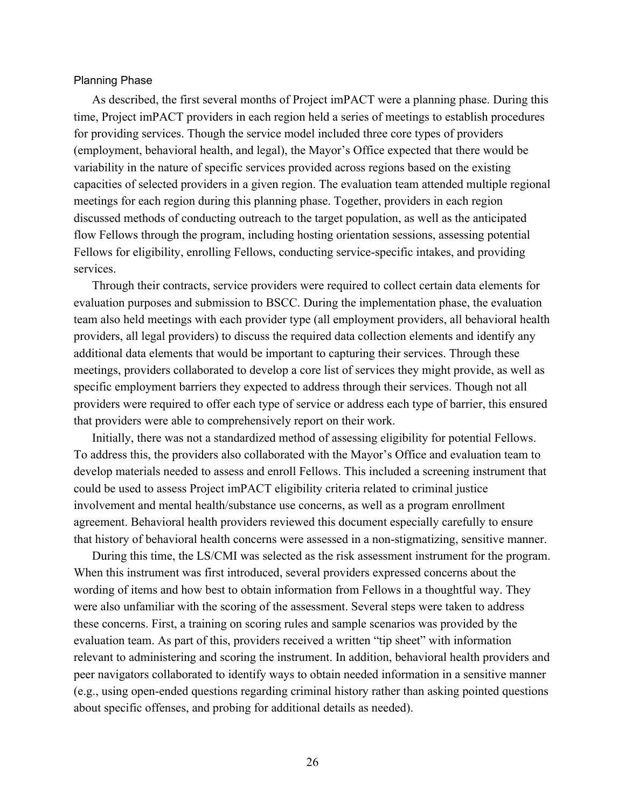#### Planning Phase

As described, the first several months of Project imPACT were a planning phase. During this time, Project imPACT providers in each region held a series of meetings to establish procedures for providing services. Though the service model included three core types of providers (employment, behavioral health, and legal), the Mayor's Office expected that there would be variability in the nature of specific services provided across regions based on the existing capacities of selected providers in a given region. The evaluation team attended multiple regional meetings for each region during this planning phase. Together, providers in each region discussed methods of conducting outreach to the target population, as well as the anticipated flow Fellows through the program, including hosting orientation sessions, assessing potential Fellows for eligibility, enrolling Fellows, conducting service-specific intakes, and providing services.

Through their contracts, service providers were required to collect certain data elements for evaluation purposes and submission to BSCC. During the implementation phase, the evaluation team also held meetings with each provider type (all employment providers, all behavioral health providers, all legal providers) to discuss the required data collection elements and identify any additional data elements that would be important to capturing their services. Through these meetings, providers collaborated to develop a core list of services they might provide, as well as specific employment barriers they expected to address through their services. Though not all providers were required to offer each type of service or address each type of barrier, this ensured that providers were able to comprehensively report on their work.

Initially, there was not a standardized method of assessing eligibility for potential Fellows. To address this, the providers also collaborated with the Mayor's Office and evaluation team to develop materials needed to assess and enroll Fellows. This included a screening instrument that could be used to assess Project imPACT eligibility criteria related to criminal justice involvement and mental health/substance use concerns, as well as a program enrollment agreement. Behavioral health providers reviewed this document especially carefully to ensure that history of behavioral health concerns were assessed in a non-stigmatizing, sensitive manner.

During this time, the LS/CMI was selected as the risk assessment instrument for the program. When this instrument was first introduced, several providers expressed concerns about the wording of items and how best to obtain information from Fellows in a thoughtful way. They were also unfamiliar with the scoring of the assessment. Several steps were taken to address these concerns. First, a training on scoring rules and sample scenarios was provided by the evaluation team. As part of this, providers received a written "tip sheet" with information relevant to administering and scoring the instrument. In addition, behavioral health providers and peer navigators collaborated to identify ways to obtain needed information in a sensitive manner (e.g., using open-ended questions regarding criminal history rather than asking pointed questions about specific offenses, and probing for additional details as needed).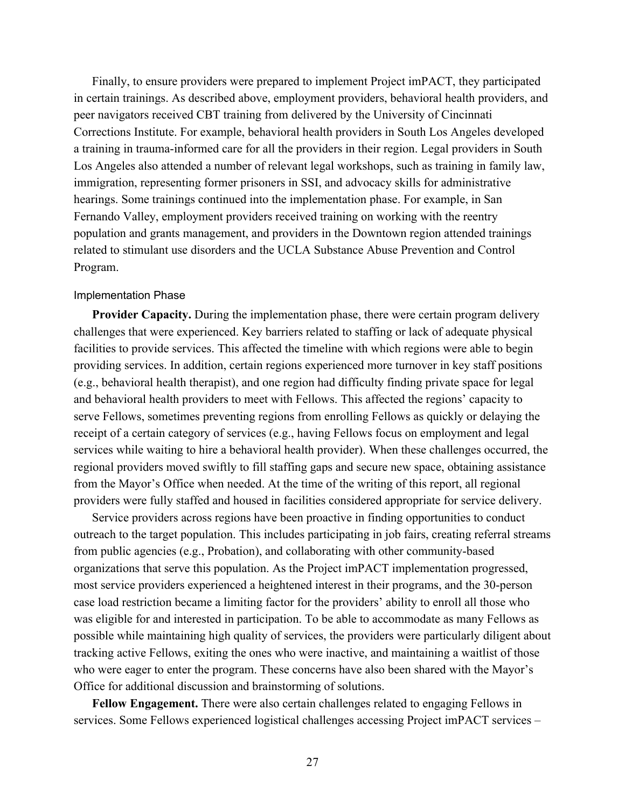Finally, to ensure providers were prepared to implement Project imPACT, they participated in certain trainings. As described above, employment providers, behavioral health providers, and peer navigators received CBT training from delivered by the University of Cincinnati Corrections Institute. For example, behavioral health providers in South Los Angeles developed a training in trauma-informed care for all the providers in their region. Legal providers in South Los Angeles also attended a number of relevant legal workshops, such as training in family law, immigration, representing former prisoners in SSI, and advocacy skills for administrative hearings. Some trainings continued into the implementation phase. For example, in San Fernando Valley, employment providers received training on working with the reentry population and grants management, and providers in the Downtown region attended trainings related to stimulant use disorders and the UCLA Substance Abuse Prevention and Control Program.

#### Implementation Phase

**Provider Capacity.** During the implementation phase, there were certain program delivery challenges that were experienced. Key barriers related to staffing or lack of adequate physical facilities to provide services. This affected the timeline with which regions were able to begin providing services. In addition, certain regions experienced more turnover in key staff positions (e.g., behavioral health therapist), and one region had difficulty finding private space for legal and behavioral health providers to meet with Fellows. This affected the regions' capacity to serve Fellows, sometimes preventing regions from enrolling Fellows as quickly or delaying the receipt of a certain category of services (e.g., having Fellows focus on employment and legal services while waiting to hire a behavioral health provider). When these challenges occurred, the regional providers moved swiftly to fill staffing gaps and secure new space, obtaining assistance from the Mayor's Office when needed. At the time of the writing of this report, all regional providers were fully staffed and housed in facilities considered appropriate for service delivery.

Service providers across regions have been proactive in finding opportunities to conduct outreach to the target population. This includes participating in job fairs, creating referral streams from public agencies (e.g., Probation), and collaborating with other community-based organizations that serve this population. As the Project imPACT implementation progressed, most service providers experienced a heightened interest in their programs, and the 30-person case load restriction became a limiting factor for the providers' ability to enroll all those who was eligible for and interested in participation. To be able to accommodate as many Fellows as possible while maintaining high quality of services, the providers were particularly diligent about tracking active Fellows, exiting the ones who were inactive, and maintaining a waitlist of those who were eager to enter the program. These concerns have also been shared with the Mayor's Office for additional discussion and brainstorming of solutions.

**Fellow Engagement.** There were also certain challenges related to engaging Fellows in services. Some Fellows experienced logistical challenges accessing Project imPACT services –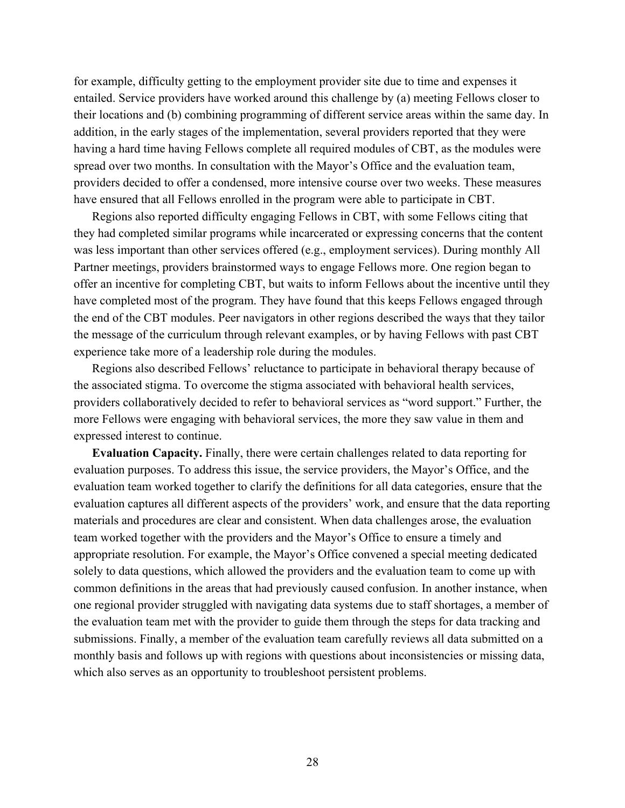for example, difficulty getting to the employment provider site due to time and expenses it entailed. Service providers have worked around this challenge by (a) meeting Fellows closer to their locations and (b) combining programming of different service areas within the same day. In addition, in the early stages of the implementation, several providers reported that they were having a hard time having Fellows complete all required modules of CBT, as the modules were spread over two months. In consultation with the Mayor's Office and the evaluation team, providers decided to offer a condensed, more intensive course over two weeks. These measures have ensured that all Fellows enrolled in the program were able to participate in CBT.

Regions also reported difficulty engaging Fellows in CBT, with some Fellows citing that they had completed similar programs while incarcerated or expressing concerns that the content was less important than other services offered (e.g., employment services). During monthly All Partner meetings, providers brainstormed ways to engage Fellows more. One region began to offer an incentive for completing CBT, but waits to inform Fellows about the incentive until they have completed most of the program. They have found that this keeps Fellows engaged through the end of the CBT modules. Peer navigators in other regions described the ways that they tailor the message of the curriculum through relevant examples, or by having Fellows with past CBT experience take more of a leadership role during the modules.

Regions also described Fellows' reluctance to participate in behavioral therapy because of the associated stigma. To overcome the stigma associated with behavioral health services, providers collaboratively decided to refer to behavioral services as "word support." Further, the more Fellows were engaging with behavioral services, the more they saw value in them and expressed interest to continue.

**Evaluation Capacity.** Finally, there were certain challenges related to data reporting for evaluation purposes. To address this issue, the service providers, the Mayor's Office, and the evaluation team worked together to clarify the definitions for all data categories, ensure that the evaluation captures all different aspects of the providers' work, and ensure that the data reporting materials and procedures are clear and consistent. When data challenges arose, the evaluation team worked together with the providers and the Mayor's Office to ensure a timely and appropriate resolution. For example, the Mayor's Office convened a special meeting dedicated solely to data questions, which allowed the providers and the evaluation team to come up with common definitions in the areas that had previously caused confusion. In another instance, when one regional provider struggled with navigating data systems due to staff shortages, a member of the evaluation team met with the provider to guide them through the steps for data tracking and submissions. Finally, a member of the evaluation team carefully reviews all data submitted on a monthly basis and follows up with regions with questions about inconsistencies or missing data, which also serves as an opportunity to troubleshoot persistent problems.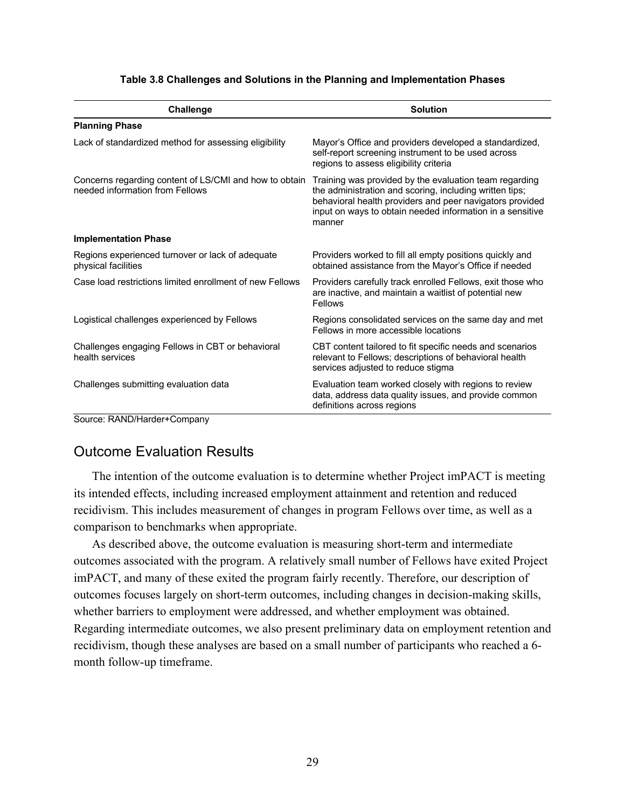| <b>Solution</b>                                                                                                                                                                                                                                      |
|------------------------------------------------------------------------------------------------------------------------------------------------------------------------------------------------------------------------------------------------------|
|                                                                                                                                                                                                                                                      |
| Mayor's Office and providers developed a standardized,<br>self-report screening instrument to be used across<br>regions to assess eligibility criteria                                                                                               |
| Training was provided by the evaluation team regarding<br>the administration and scoring, including written tips;<br>behavioral health providers and peer navigators provided<br>input on ways to obtain needed information in a sensitive<br>manner |
|                                                                                                                                                                                                                                                      |
| Providers worked to fill all empty positions quickly and<br>obtained assistance from the Mayor's Office if needed                                                                                                                                    |
| Providers carefully track enrolled Fellows, exit those who<br>are inactive, and maintain a waitlist of potential new<br>Fellows                                                                                                                      |
| Regions consolidated services on the same day and met<br>Fellows in more accessible locations                                                                                                                                                        |
| CBT content tailored to fit specific needs and scenarios<br>relevant to Fellows; descriptions of behavioral health<br>services adjusted to reduce stigma                                                                                             |
| Evaluation team worked closely with regions to review<br>data, address data quality issues, and provide common<br>definitions across regions                                                                                                         |
|                                                                                                                                                                                                                                                      |

#### **Table 3.8 Challenges and Solutions in the Planning and Implementation Phases**

Source: RAND/Harder+Company

## Outcome Evaluation Results

The intention of the outcome evaluation is to determine whether Project imPACT is meeting its intended effects, including increased employment attainment and retention and reduced recidivism. This includes measurement of changes in program Fellows over time, as well as a comparison to benchmarks when appropriate.

As described above, the outcome evaluation is measuring short-term and intermediate outcomes associated with the program. A relatively small number of Fellows have exited Project imPACT, and many of these exited the program fairly recently. Therefore, our description of outcomes focuses largely on short-term outcomes, including changes in decision-making skills, whether barriers to employment were addressed, and whether employment was obtained. Regarding intermediate outcomes, we also present preliminary data on employment retention and recidivism, though these analyses are based on a small number of participants who reached a 6 month follow-up timeframe.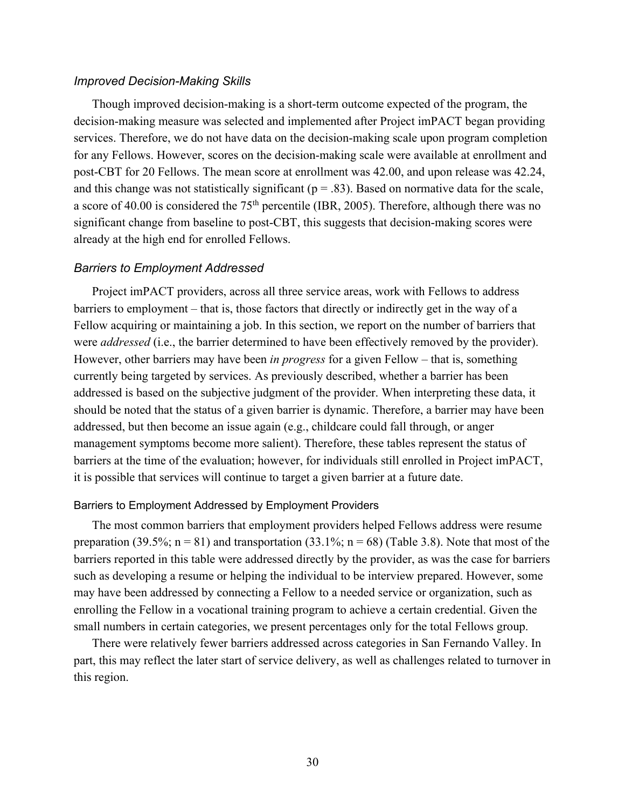#### *Improved Decision-Making Skills*

Though improved decision-making is a short-term outcome expected of the program, the decision-making measure was selected and implemented after Project imPACT began providing services. Therefore, we do not have data on the decision-making scale upon program completion for any Fellows. However, scores on the decision-making scale were available at enrollment and post-CBT for 20 Fellows. The mean score at enrollment was 42.00, and upon release was 42.24, and this change was not statistically significant ( $p = .83$ ). Based on normative data for the scale, a score of 40.00 is considered the 75<sup>th</sup> percentile (IBR, 2005). Therefore, although there was no significant change from baseline to post-CBT, this suggests that decision-making scores were already at the high end for enrolled Fellows.

#### *Barriers to Employment Addressed*

Project imPACT providers, across all three service areas, work with Fellows to address barriers to employment – that is, those factors that directly or indirectly get in the way of a Fellow acquiring or maintaining a job. In this section, we report on the number of barriers that were *addressed* (i.e., the barrier determined to have been effectively removed by the provider). However, other barriers may have been *in progress* for a given Fellow – that is, something currently being targeted by services. As previously described, whether a barrier has been addressed is based on the subjective judgment of the provider. When interpreting these data, it should be noted that the status of a given barrier is dynamic. Therefore, a barrier may have been addressed, but then become an issue again (e.g., childcare could fall through, or anger management symptoms become more salient). Therefore, these tables represent the status of barriers at the time of the evaluation; however, for individuals still enrolled in Project imPACT, it is possible that services will continue to target a given barrier at a future date.

#### Barriers to Employment Addressed by Employment Providers

The most common barriers that employment providers helped Fellows address were resume preparation (39.5%;  $n = 81$ ) and transportation (33.1%;  $n = 68$ ) (Table 3.8). Note that most of the barriers reported in this table were addressed directly by the provider, as was the case for barriers such as developing a resume or helping the individual to be interview prepared. However, some may have been addressed by connecting a Fellow to a needed service or organization, such as enrolling the Fellow in a vocational training program to achieve a certain credential. Given the small numbers in certain categories, we present percentages only for the total Fellows group.

There were relatively fewer barriers addressed across categories in San Fernando Valley. In part, this may reflect the later start of service delivery, as well as challenges related to turnover in this region.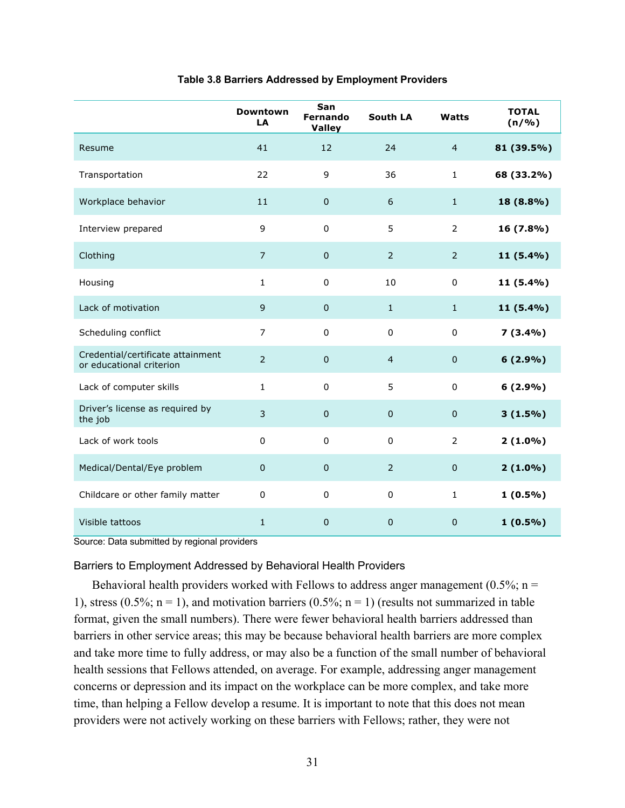|                                                               | <b>Downtown</b><br>LA | San<br><b>Fernando</b><br><b>Valley</b> | South LA       | Watts          | <b>TOTAL</b><br>(n/%) |
|---------------------------------------------------------------|-----------------------|-----------------------------------------|----------------|----------------|-----------------------|
| Resume                                                        | 41                    | 12                                      | 24             | $\overline{a}$ | 81 (39.5%)            |
| Transportation                                                | 22                    | 9                                       | 36             | $\mathbf{1}$   | 68 (33.2%)            |
| Workplace behavior                                            | 11                    | $\pmb{0}$                               | 6              | $\mathbf{1}$   | 18 (8.8%)             |
| Interview prepared                                            | 9                     | $\mathbf 0$                             | 5              | $\overline{2}$ | 16 (7.8%)             |
| Clothing                                                      | 7                     | $\mathbf 0$                             | $\overline{2}$ | $\overline{2}$ | 11 (5.4%)             |
| Housing                                                       | $\mathbf{1}$          | 0                                       | 10             | 0              | 11 (5.4%)             |
| Lack of motivation                                            | 9                     | $\mathbf 0$                             | $\mathbf{1}$   | $\mathbf{1}$   | 11 (5.4%)             |
| Scheduling conflict                                           | $\overline{7}$        | $\Omega$                                | $\mathbf 0$    | 0              | $7(3.4\%)$            |
| Credential/certificate attainment<br>or educational criterion | $\overline{2}$        | $\mathbf 0$                             | $\overline{4}$ | $\pmb{0}$      | $6(2.9\%)$            |
| Lack of computer skills                                       | $\mathbf{1}$          | $\mathbf 0$                             | 5              | 0              | $6(2.9\%)$            |
| Driver's license as required by<br>the job                    | 3                     | $\mathbf 0$                             | $\pmb{0}$      | $\pmb{0}$      | 3(1.5%)               |
| Lack of work tools                                            | $\Omega$              | $\mathbf 0$                             | $\mathbf 0$    | $\overline{2}$ | $2(1.0\%)$            |
| Medical/Dental/Eye problem                                    | $\pmb{0}$             | $\mathbf 0$                             | $\overline{2}$ | $\pmb{0}$      | $2(1.0\%)$            |
| Childcare or other family matter                              | 0                     | $\Omega$                                | $\mathbf 0$    | $\mathbf{1}$   | $1(0.5\%)$            |
| Visible tattoos                                               | $\mathbf{1}$          | $\mathbf 0$                             | $\mathbf 0$    | $\mathbf 0$    | $1(0.5\%)$            |

#### **Table 3.8 Barriers Addressed by Employment Providers**

Source: Data submitted by regional providers

#### Barriers to Employment Addressed by Behavioral Health Providers

Behavioral health providers worked with Fellows to address anger management (0.5%;  $n =$ 1), stress (0.5%;  $n = 1$ ), and motivation barriers (0.5%;  $n = 1$ ) (results not summarized in table format, given the small numbers). There were fewer behavioral health barriers addressed than barriers in other service areas; this may be because behavioral health barriers are more complex and take more time to fully address, or may also be a function of the small number of behavioral health sessions that Fellows attended, on average. For example, addressing anger management concerns or depression and its impact on the workplace can be more complex, and take more time, than helping a Fellow develop a resume. It is important to note that this does not mean providers were not actively working on these barriers with Fellows; rather, they were not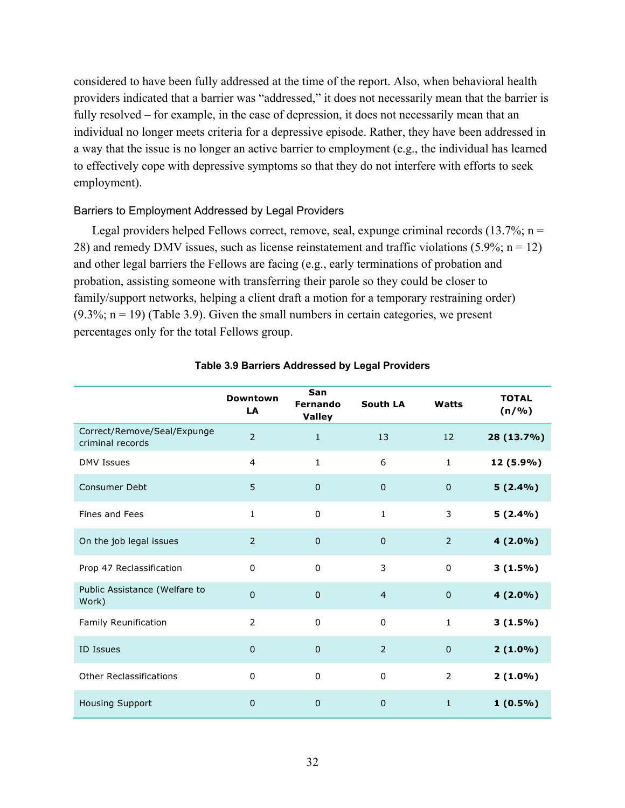considered to have been fully addressed at the time of the report. Also, when behavioral health providers indicated that a barrier was "addressed," it does not necessarily mean that the barrier is fully resolved – for example, in the case of depression, it does not necessarily mean that an individual no longer meets criteria for a depressive episode. Rather, they have been addressed in a way that the issue is no longer an active barrier to employment (e.g., the individual has learned to effectively cope with depressive symptoms so that they do not interfere with efforts to seek employment).

#### Barriers to Employment Addressed by Legal Providers

Legal providers helped Fellows correct, remove, seal, expunge criminal records (13.7%;  $n =$ 28) and remedy DMV issues, such as license reinstatement and traffic violations  $(5.9\%; n = 12)$ and other legal barriers the Fellows are facing (e.g., early terminations of probation and probation, assisting someone with transferring their parole so they could be closer to family/support networks, helping a client draft a motion for a temporary restraining order)  $(9.3\%; n = 19)$  (Table 3.9). Given the small numbers in certain categories, we present percentages only for the total Fellows group.

|                                                 | <b>Downtown</b><br>LA | San<br>Fernando<br><b>Valley</b> | South LA       | Watts          | <b>TOTAL</b><br>(n/%) |
|-------------------------------------------------|-----------------------|----------------------------------|----------------|----------------|-----------------------|
| Correct/Remove/Seal/Expunge<br>criminal records | $\overline{2}$        | $\mathbf{1}$                     | 13             | 12             | 28 (13.7%)            |
| <b>DMV Issues</b>                               | $\overline{4}$        | 1                                | 6              | $\mathbf{1}$   | 12 (5.9%)             |
| <b>Consumer Debt</b>                            | 5                     | $\mathbf 0$                      | $\mathbf 0$    | $\mathbf 0$    | $5(2.4\%)$            |
| Fines and Fees                                  | $\mathbf{1}$          | $\mathbf 0$                      | 1              | 3              | $5(2.4\%)$            |
| On the job legal issues                         | 2                     | $\mathbf{0}$                     | $\overline{0}$ | 2              | $4(2.0\%)$            |
| Prop 47 Reclassification                        | 0                     | $\mathbf 0$                      | 3              | $\mathbf 0$    | $3(1.5\%)$            |
| Public Assistance (Welfare to<br>Work)          | $\mathbf{0}$          | $\mathbf{0}$                     | $\overline{4}$ | $\mathbf 0$    | $4(2.0\%)$            |
| Family Reunification                            | 2                     | $\mathbf 0$                      | $\mathbf 0$    | $\mathbf{1}$   | $3(1.5\%)$            |
| <b>ID Issues</b>                                | $\mathbf{0}$          | $\mathbf 0$                      | $\overline{2}$ | $\mathbf 0$    | $2(1.0\%)$            |
| <b>Other Reclassifications</b>                  | 0                     | $\pmb{0}$                        | $\pmb{0}$      | $\overline{2}$ | $2(1.0\%)$            |
| <b>Housing Support</b>                          | $\mathbf 0$           | 0                                | $\mathbf 0$    | $\mathbf{1}$   | $1(0.5\%)$            |

#### **Table 3.9 Barriers Addressed by Legal Providers**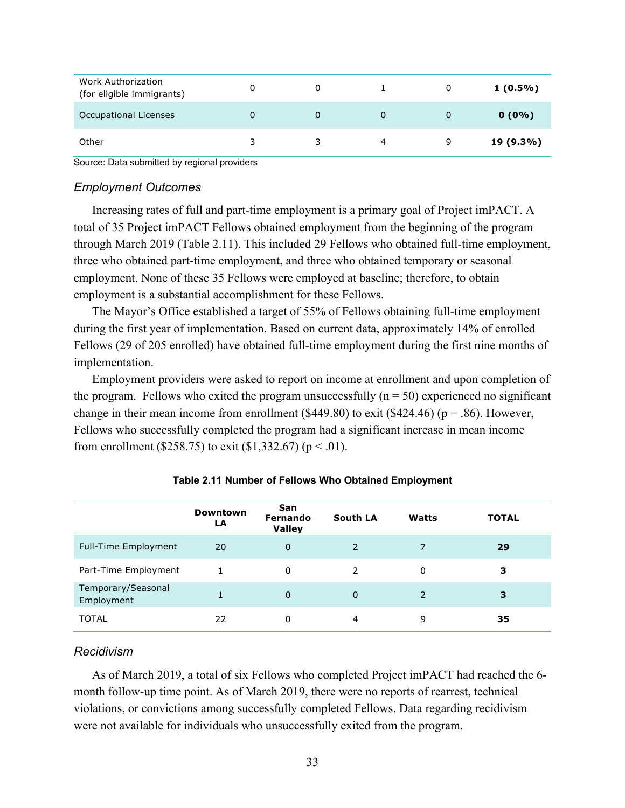| Work Authorization<br>(for eligible immigrants) |  |   |   | $1(0.5\%)$ |
|-------------------------------------------------|--|---|---|------------|
| Occupational Licenses                           |  | O | U | $0(0\%)$   |
| Other                                           |  | 4 | 9 | 19 (9.3%)  |

Source: Data submitted by regional providers

#### *Employment Outcomes*

Increasing rates of full and part-time employment is a primary goal of Project imPACT. A total of 35 Project imPACT Fellows obtained employment from the beginning of the program through March 2019 (Table 2.11). This included 29 Fellows who obtained full-time employment, three who obtained part-time employment, and three who obtained temporary or seasonal employment. None of these 35 Fellows were employed at baseline; therefore, to obtain employment is a substantial accomplishment for these Fellows.

The Mayor's Office established a target of 55% of Fellows obtaining full-time employment during the first year of implementation. Based on current data, approximately 14% of enrolled Fellows (29 of 205 enrolled) have obtained full-time employment during the first nine months of implementation.

Employment providers were asked to report on income at enrollment and upon completion of the program. Fellows who exited the program unsuccessfully  $(n = 50)$  experienced no significant change in their mean income from enrollment (\$449.80) to exit (\$424.46) ( $p = .86$ ). However, Fellows who successfully completed the program had a significant increase in mean income from enrollment (\$258.75) to exit (\$1,332.67) ( $p < .01$ ).

|                                  | <b>Downtown</b><br>LA | <b>San</b><br>Fernando<br><b>Valley</b> | South LA    | Watts         | <b>TOTAL</b> |
|----------------------------------|-----------------------|-----------------------------------------|-------------|---------------|--------------|
| <b>Full-Time Employment</b>      | 20                    | $\mathbf 0$                             |             |               | 29           |
| Part-Time Employment             |                       | $\Omega$                                |             | 0             | з            |
| Temporary/Seasonal<br>Employment |                       | $\Omega$                                | $\mathbf 0$ | $\mathcal{P}$ | з            |
| <b>TOTAL</b>                     | 22                    | 0                                       | 4           | 9             | 35           |

#### **Table 2.11 Number of Fellows Who Obtained Employment**

#### *Recidivism*

As of March 2019, a total of six Fellows who completed Project imPACT had reached the 6 month follow-up time point. As of March 2019, there were no reports of rearrest, technical violations, or convictions among successfully completed Fellows. Data regarding recidivism were not available for individuals who unsuccessfully exited from the program.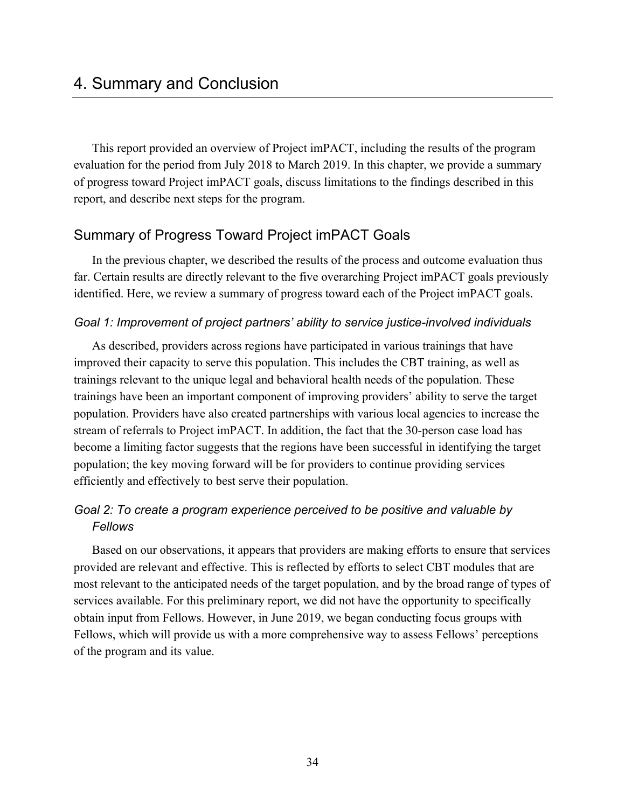This report provided an overview of Project imPACT, including the results of the program evaluation for the period from July 2018 to March 2019. In this chapter, we provide a summary of progress toward Project imPACT goals, discuss limitations to the findings described in this report, and describe next steps for the program.

## Summary of Progress Toward Project imPACT Goals

In the previous chapter, we described the results of the process and outcome evaluation thus far. Certain results are directly relevant to the five overarching Project imPACT goals previously identified. Here, we review a summary of progress toward each of the Project imPACT goals.

#### *Goal 1: Improvement of project partners' ability to service justice-involved individuals*

As described, providers across regions have participated in various trainings that have improved their capacity to serve this population. This includes the CBT training, as well as trainings relevant to the unique legal and behavioral health needs of the population. These trainings have been an important component of improving providers' ability to serve the target population. Providers have also created partnerships with various local agencies to increase the stream of referrals to Project imPACT. In addition, the fact that the 30-person case load has become a limiting factor suggests that the regions have been successful in identifying the target population; the key moving forward will be for providers to continue providing services efficiently and effectively to best serve their population.

## *Goal 2: To create a program experience perceived to be positive and valuable by Fellows*

Based on our observations, it appears that providers are making efforts to ensure that services provided are relevant and effective. This is reflected by efforts to select CBT modules that are most relevant to the anticipated needs of the target population, and by the broad range of types of services available. For this preliminary report, we did not have the opportunity to specifically obtain input from Fellows. However, in June 2019, we began conducting focus groups with Fellows, which will provide us with a more comprehensive way to assess Fellows' perceptions of the program and its value.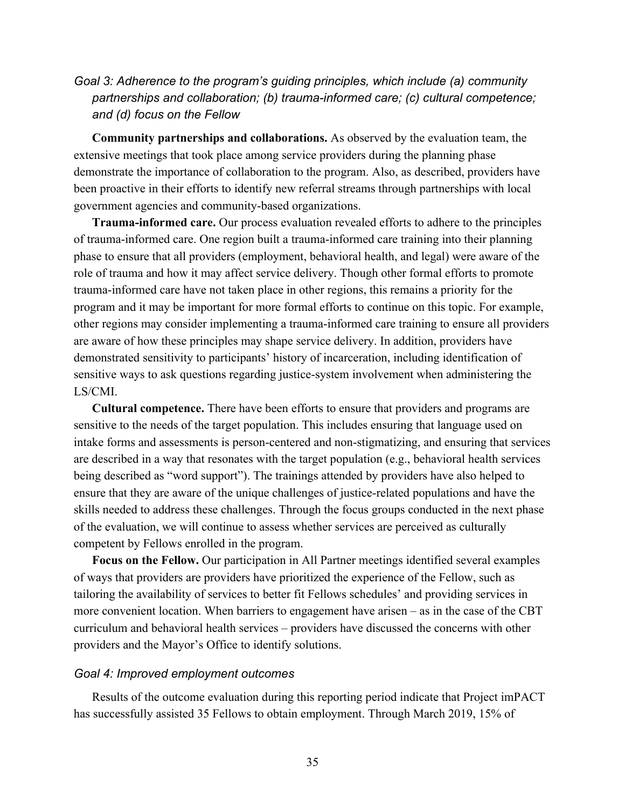*Goal 3: Adherence to the program's guiding principles, which include (a) community partnerships and collaboration; (b) trauma-informed care; (c) cultural competence; and (d) focus on the Fellow*

**Community partnerships and collaborations.** As observed by the evaluation team, the extensive meetings that took place among service providers during the planning phase demonstrate the importance of collaboration to the program. Also, as described, providers have been proactive in their efforts to identify new referral streams through partnerships with local government agencies and community-based organizations.

**Trauma-informed care.** Our process evaluation revealed efforts to adhere to the principles of trauma-informed care. One region built a trauma-informed care training into their planning phase to ensure that all providers (employment, behavioral health, and legal) were aware of the role of trauma and how it may affect service delivery. Though other formal efforts to promote trauma-informed care have not taken place in other regions, this remains a priority for the program and it may be important for more formal efforts to continue on this topic. For example, other regions may consider implementing a trauma-informed care training to ensure all providers are aware of how these principles may shape service delivery. In addition, providers have demonstrated sensitivity to participants' history of incarceration, including identification of sensitive ways to ask questions regarding justice-system involvement when administering the LS/CMI.

**Cultural competence.** There have been efforts to ensure that providers and programs are sensitive to the needs of the target population. This includes ensuring that language used on intake forms and assessments is person-centered and non-stigmatizing, and ensuring that services are described in a way that resonates with the target population (e.g., behavioral health services being described as "word support"). The trainings attended by providers have also helped to ensure that they are aware of the unique challenges of justice-related populations and have the skills needed to address these challenges. Through the focus groups conducted in the next phase of the evaluation, we will continue to assess whether services are perceived as culturally competent by Fellows enrolled in the program.

**Focus on the Fellow.** Our participation in All Partner meetings identified several examples of ways that providers are providers have prioritized the experience of the Fellow, such as tailoring the availability of services to better fit Fellows schedules' and providing services in more convenient location. When barriers to engagement have arisen – as in the case of the CBT curriculum and behavioral health services – providers have discussed the concerns with other providers and the Mayor's Office to identify solutions.

#### *Goal 4: Improved employment outcomes*

Results of the outcome evaluation during this reporting period indicate that Project imPACT has successfully assisted 35 Fellows to obtain employment. Through March 2019, 15% of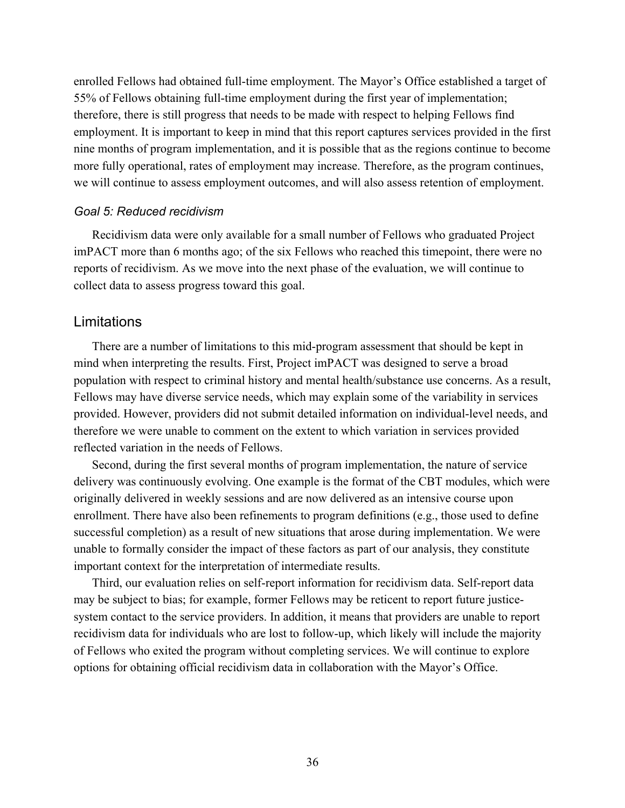enrolled Fellows had obtained full-time employment. The Mayor's Office established a target of 55% of Fellows obtaining full-time employment during the first year of implementation; therefore, there is still progress that needs to be made with respect to helping Fellows find employment. It is important to keep in mind that this report captures services provided in the first nine months of program implementation, and it is possible that as the regions continue to become more fully operational, rates of employment may increase. Therefore, as the program continues, we will continue to assess employment outcomes, and will also assess retention of employment.

#### *Goal 5: Reduced recidivism*

Recidivism data were only available for a small number of Fellows who graduated Project imPACT more than 6 months ago; of the six Fellows who reached this timepoint, there were no reports of recidivism. As we move into the next phase of the evaluation, we will continue to collect data to assess progress toward this goal.

#### Limitations

There are a number of limitations to this mid-program assessment that should be kept in mind when interpreting the results. First, Project imPACT was designed to serve a broad population with respect to criminal history and mental health/substance use concerns. As a result, Fellows may have diverse service needs, which may explain some of the variability in services provided. However, providers did not submit detailed information on individual-level needs, and therefore we were unable to comment on the extent to which variation in services provided reflected variation in the needs of Fellows.

Second, during the first several months of program implementation, the nature of service delivery was continuously evolving. One example is the format of the CBT modules, which were originally delivered in weekly sessions and are now delivered as an intensive course upon enrollment. There have also been refinements to program definitions (e.g., those used to define successful completion) as a result of new situations that arose during implementation. We were unable to formally consider the impact of these factors as part of our analysis, they constitute important context for the interpretation of intermediate results.

Third, our evaluation relies on self-report information for recidivism data. Self-report data may be subject to bias; for example, former Fellows may be reticent to report future justicesystem contact to the service providers. In addition, it means that providers are unable to report recidivism data for individuals who are lost to follow-up, which likely will include the majority of Fellows who exited the program without completing services. We will continue to explore options for obtaining official recidivism data in collaboration with the Mayor's Office.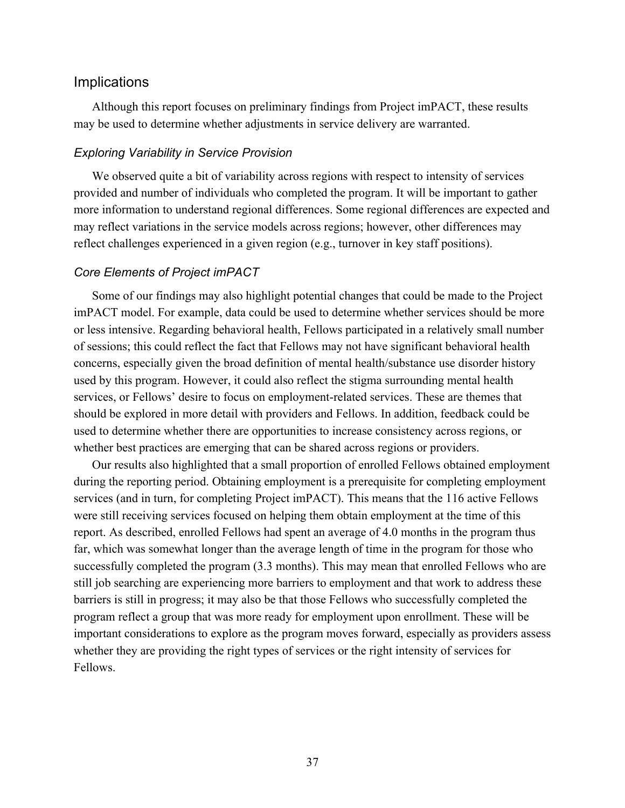## Implications

Although this report focuses on preliminary findings from Project imPACT, these results may be used to determine whether adjustments in service delivery are warranted.

## *Exploring Variability in Service Provision*

We observed quite a bit of variability across regions with respect to intensity of services provided and number of individuals who completed the program. It will be important to gather more information to understand regional differences. Some regional differences are expected and may reflect variations in the service models across regions; however, other differences may reflect challenges experienced in a given region (e.g., turnover in key staff positions).

#### *Core Elements of Project imPACT*

Some of our findings may also highlight potential changes that could be made to the Project imPACT model. For example, data could be used to determine whether services should be more or less intensive. Regarding behavioral health, Fellows participated in a relatively small number of sessions; this could reflect the fact that Fellows may not have significant behavioral health concerns, especially given the broad definition of mental health/substance use disorder history used by this program. However, it could also reflect the stigma surrounding mental health services, or Fellows' desire to focus on employment-related services. These are themes that should be explored in more detail with providers and Fellows. In addition, feedback could be used to determine whether there are opportunities to increase consistency across regions, or whether best practices are emerging that can be shared across regions or providers.

Our results also highlighted that a small proportion of enrolled Fellows obtained employment during the reporting period. Obtaining employment is a prerequisite for completing employment services (and in turn, for completing Project imPACT). This means that the 116 active Fellows were still receiving services focused on helping them obtain employment at the time of this report. As described, enrolled Fellows had spent an average of 4.0 months in the program thus far, which was somewhat longer than the average length of time in the program for those who successfully completed the program (3.3 months). This may mean that enrolled Fellows who are still job searching are experiencing more barriers to employment and that work to address these barriers is still in progress; it may also be that those Fellows who successfully completed the program reflect a group that was more ready for employment upon enrollment. These will be important considerations to explore as the program moves forward, especially as providers assess whether they are providing the right types of services or the right intensity of services for Fellows.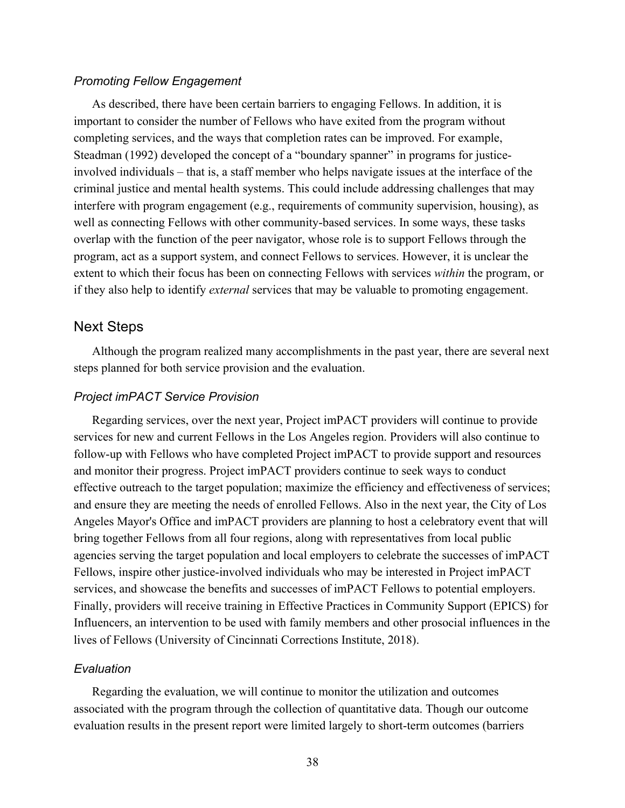#### *Promoting Fellow Engagement*

As described, there have been certain barriers to engaging Fellows. In addition, it is important to consider the number of Fellows who have exited from the program without completing services, and the ways that completion rates can be improved. For example, Steadman (1992) developed the concept of a "boundary spanner" in programs for justiceinvolved individuals – that is, a staff member who helps navigate issues at the interface of the criminal justice and mental health systems. This could include addressing challenges that may interfere with program engagement (e.g., requirements of community supervision, housing), as well as connecting Fellows with other community-based services. In some ways, these tasks overlap with the function of the peer navigator, whose role is to support Fellows through the program, act as a support system, and connect Fellows to services. However, it is unclear the extent to which their focus has been on connecting Fellows with services *within* the program, or if they also help to identify *external* services that may be valuable to promoting engagement.

#### Next Steps

Although the program realized many accomplishments in the past year, there are several next steps planned for both service provision and the evaluation.

#### *Project imPACT Service Provision*

Regarding services, over the next year, Project imPACT providers will continue to provide services for new and current Fellows in the Los Angeles region. Providers will also continue to follow-up with Fellows who have completed Project imPACT to provide support and resources and monitor their progress. Project imPACT providers continue to seek ways to conduct effective outreach to the target population; maximize the efficiency and effectiveness of services; and ensure they are meeting the needs of enrolled Fellows. Also in the next year, the City of Los Angeles Mayor's Office and imPACT providers are planning to host a celebratory event that will bring together Fellows from all four regions, along with representatives from local public agencies serving the target population and local employers to celebrate the successes of imPACT Fellows, inspire other justice-involved individuals who may be interested in Project imPACT services, and showcase the benefits and successes of imPACT Fellows to potential employers. Finally, providers will receive training in Effective Practices in Community Support (EPICS) for Influencers, an intervention to be used with family members and other prosocial influences in the lives of Fellows (University of Cincinnati Corrections Institute, 2018).

#### *Evaluation*

Regarding the evaluation, we will continue to monitor the utilization and outcomes associated with the program through the collection of quantitative data. Though our outcome evaluation results in the present report were limited largely to short-term outcomes (barriers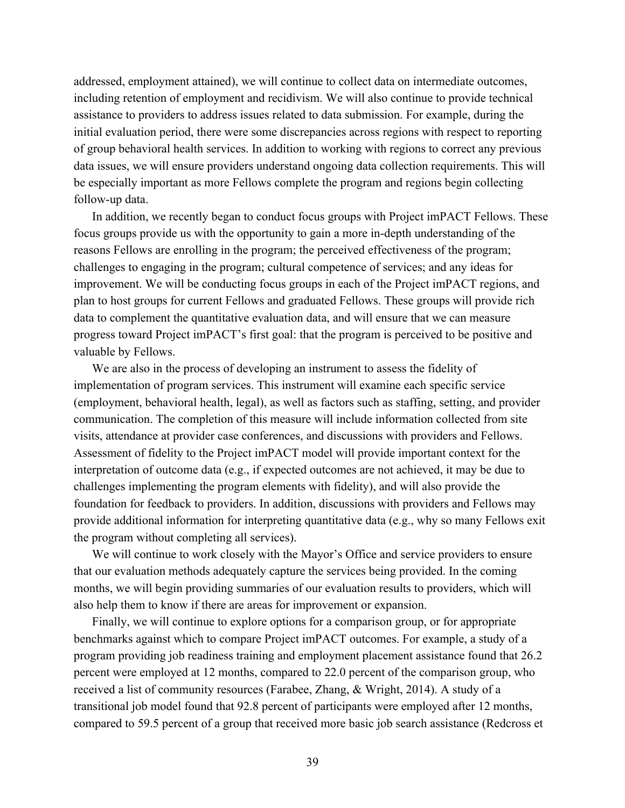addressed, employment attained), we will continue to collect data on intermediate outcomes, including retention of employment and recidivism. We will also continue to provide technical assistance to providers to address issues related to data submission. For example, during the initial evaluation period, there were some discrepancies across regions with respect to reporting of group behavioral health services. In addition to working with regions to correct any previous data issues, we will ensure providers understand ongoing data collection requirements. This will be especially important as more Fellows complete the program and regions begin collecting follow-up data.

In addition, we recently began to conduct focus groups with Project imPACT Fellows. These focus groups provide us with the opportunity to gain a more in-depth understanding of the reasons Fellows are enrolling in the program; the perceived effectiveness of the program; challenges to engaging in the program; cultural competence of services; and any ideas for improvement. We will be conducting focus groups in each of the Project imPACT regions, and plan to host groups for current Fellows and graduated Fellows. These groups will provide rich data to complement the quantitative evaluation data, and will ensure that we can measure progress toward Project imPACT's first goal: that the program is perceived to be positive and valuable by Fellows.

We are also in the process of developing an instrument to assess the fidelity of implementation of program services. This instrument will examine each specific service (employment, behavioral health, legal), as well as factors such as staffing, setting, and provider communication. The completion of this measure will include information collected from site visits, attendance at provider case conferences, and discussions with providers and Fellows. Assessment of fidelity to the Project imPACT model will provide important context for the interpretation of outcome data (e.g., if expected outcomes are not achieved, it may be due to challenges implementing the program elements with fidelity), and will also provide the foundation for feedback to providers. In addition, discussions with providers and Fellows may provide additional information for interpreting quantitative data (e.g., why so many Fellows exit the program without completing all services).

We will continue to work closely with the Mayor's Office and service providers to ensure that our evaluation methods adequately capture the services being provided. In the coming months, we will begin providing summaries of our evaluation results to providers, which will also help them to know if there are areas for improvement or expansion.

Finally, we will continue to explore options for a comparison group, or for appropriate benchmarks against which to compare Project imPACT outcomes. For example, a study of a program providing job readiness training and employment placement assistance found that 26.2 percent were employed at 12 months, compared to 22.0 percent of the comparison group, who received a list of community resources (Farabee, Zhang, & Wright, 2014). A study of a transitional job model found that 92.8 percent of participants were employed after 12 months, compared to 59.5 percent of a group that received more basic job search assistance (Redcross et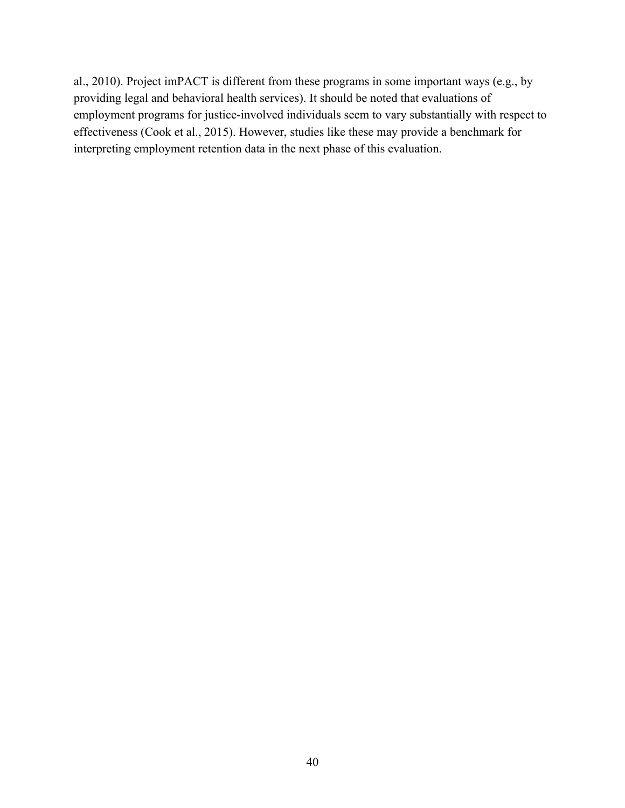al., 2010). Project imPACT is different from these programs in some important ways (e.g., by providing legal and behavioral health services). It should be noted that evaluations of employment programs for justice-involved individuals seem to vary substantially with respect to effectiveness (Cook et al., 2015). However, studies like these may provide a benchmark for interpreting employment retention data in the next phase of this evaluation.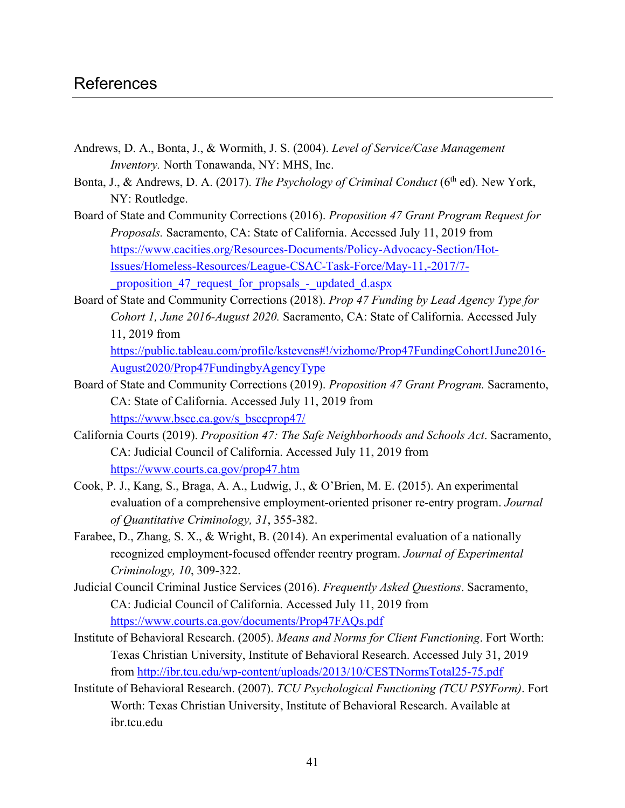- Andrews, D. A., Bonta, J., & Wormith, J. S. (2004). *Level of Service/Case Management Inventory.* North Tonawanda, NY: MHS, Inc.
- Bonta, J., & Andrews, D. A. (2017). *The Psychology of Criminal Conduct* (6<sup>th</sup> ed). New York, NY: Routledge.
- Board of State and Community Corrections (2016). *Proposition 47 Grant Program Request for Proposals.* Sacramento, CA: State of California. Accessed July 11, 2019 from https://www.cacities.org/Resources-Documents/Policy-Advocacy-Section/Hot-Issues/Homeless-Resources/League-CSAC-Task-Force/May-11,-2017/7- \_proposition\_47\_request\_for\_propsals\_-\_updated\_d.aspx
- Board of State and Community Corrections (2018). *Prop 47 Funding by Lead Agency Type for Cohort 1, June 2016-August 2020.* Sacramento, CA: State of California. Accessed July 11, 2019 from https://public.tableau.com/profile/kstevens#!/vizhome/Prop47FundingCohort1June2016-

August2020/Prop47FundingbyAgencyType

- Board of State and Community Corrections (2019). *Proposition 47 Grant Program.* Sacramento, CA: State of California. Accessed July 11, 2019 from https://www.bscc.ca.gov/s\_bsccprop47/
- California Courts (2019). *Proposition 47: The Safe Neighborhoods and Schools Act*. Sacramento, CA: Judicial Council of California. Accessed July 11, 2019 from https://www.courts.ca.gov/prop47.htm
- Cook, P. J., Kang, S., Braga, A. A., Ludwig, J., & O'Brien, M. E. (2015). An experimental evaluation of a comprehensive employment-oriented prisoner re-entry program. *Journal of Quantitative Criminology, 31*, 355-382.
- Farabee, D., Zhang, S. X., & Wright, B. (2014). An experimental evaluation of a nationally recognized employment-focused offender reentry program. *Journal of Experimental Criminology, 10*, 309-322.
- Judicial Council Criminal Justice Services (2016). *Frequently Asked Questions*. Sacramento, CA: Judicial Council of California. Accessed July 11, 2019 from https://www.courts.ca.gov/documents/Prop47FAQs.pdf
- Institute of Behavioral Research. (2005). *Means and Norms for Client Functioning*. Fort Worth: Texas Christian University, Institute of Behavioral Research. Accessed July 31, 2019 from http://ibr.tcu.edu/wp-content/uploads/2013/10/CESTNormsTotal25-75.pdf
- Institute of Behavioral Research. (2007). *TCU Psychological Functioning (TCU PSYForm)*. Fort Worth: Texas Christian University, Institute of Behavioral Research. Available at ibr.tcu.edu